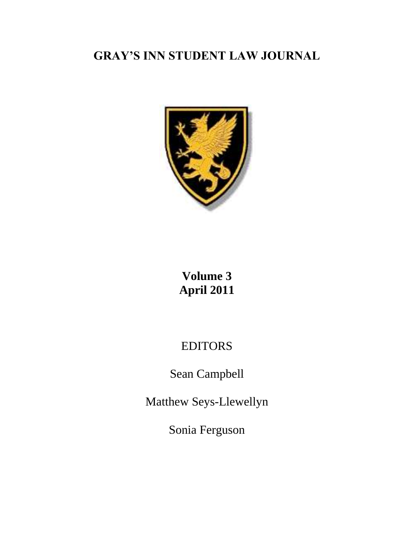# **GRAY'S INN STUDENT LAW JOURNAL**



# **Volume 3 April 2011**

# EDITORS

Sean Campbell

Matthew Seys-Llewellyn

Sonia Ferguson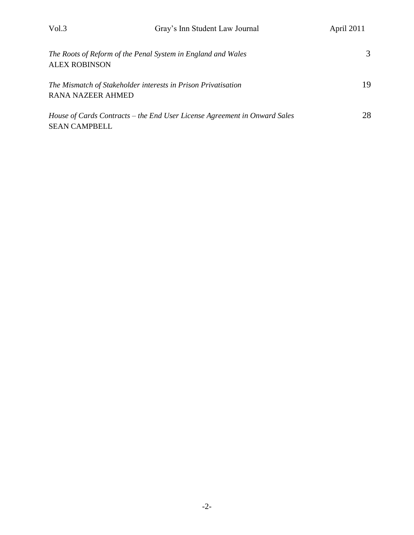| The Roots of Reform of the Penal System in England and Wales<br><b>ALEX ROBINSON</b>              | 3   |
|---------------------------------------------------------------------------------------------------|-----|
| The Mismatch of Stakeholder interests in Prison Privatisation<br><b>RANA NAZEER AHMED</b>         | 19. |
| House of Cards Contracts – the End User License Agreement in Onward Sales<br><b>SEAN CAMPBELL</b> | 28  |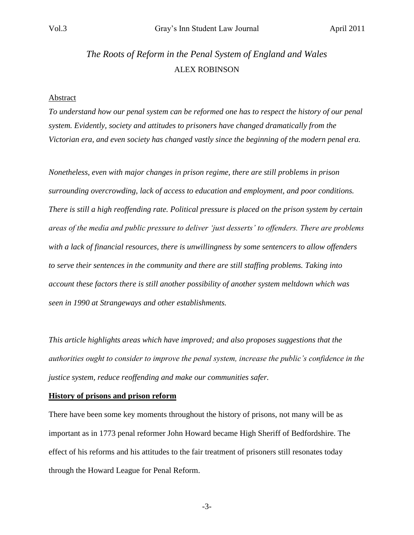# *The Roots of Reform in the Penal System of England and Wales* ALEX ROBINSON

#### **Abstract**

*To understand how our penal system can be reformed one has to respect the history of our penal system. Evidently, society and attitudes to prisoners have changed dramatically from the Victorian era, and even society has changed vastly since the beginning of the modern penal era.*

*Nonetheless, even with major changes in prison regime, there are still problems in prison surrounding overcrowding, lack of access to education and employment, and poor conditions. There is still a high reoffending rate. Political pressure is placed on the prison system by certain areas of the media and public pressure to deliver "just desserts" to offenders. There are problems with a lack of financial resources, there is unwillingness by some sentencers to allow offenders to serve their sentences in the community and there are still staffing problems. Taking into account these factors there is still another possibility of another system meltdown which was seen in 1990 at Strangeways and other establishments.*

*This article highlights areas which have improved; and also proposes suggestions that the authorities ought to consider to improve the penal system, increase the public"s confidence in the justice system, reduce reoffending and make our communities safer.* 

#### **History of prisons and prison reform**

There have been some key moments throughout the history of prisons, not many will be as important as in 1773 penal reformer John Howard became High Sheriff of Bedfordshire. The effect of his reforms and his attitudes to the fair treatment of prisoners still resonates today through the Howard League for Penal Reform.

-3-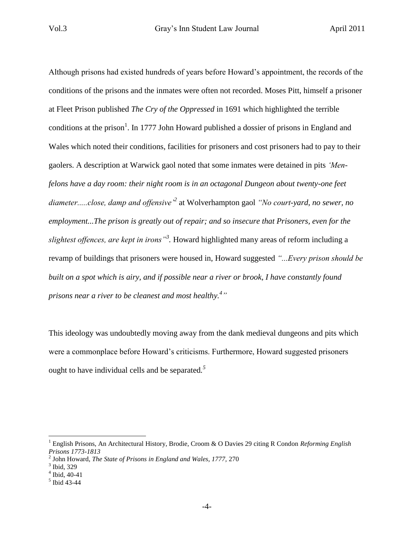Although prisons had existed hundreds of years before Howard"s appointment, the records of the conditions of the prisons and the inmates were often not recorded. Moses Pitt, himself a prisoner at Fleet Prison published *The Cry of the Oppressed* in 1691 which highlighted the terrible conditions at the prison<sup>1</sup>. In 1777 John Howard published a dossier of prisons in England and Wales which noted their conditions, facilities for prisoners and cost prisoners had to pay to their gaolers. A description at Warwick gaol noted that some inmates were detained in pits *"Menfelons have a day room: their night room is in an octagonal Dungeon about twenty-one feet diameter.....close, damp and offensive"<sup>2</sup>* at Wolverhampton gaol *"No court-yard, no sewer, no employment...The prison is greatly out of repair; and so insecure that Prisoners, even for the slightest offences, are kept in irons"<sup>3</sup> .* Howard highlighted many areas of reform including a revamp of buildings that prisoners were housed in, Howard suggested *"...Every prison should be built on a spot which is airy, and if possible near a river or brook, I have constantly found prisons near a river to be cleanest and most healthy.<sup>4</sup> "* 

This ideology was undoubtedly moving away from the dank medieval dungeons and pits which were a commonplace before Howard"s criticisms. Furthermore, Howard suggested prisoners ought to have individual cells and be separated*. 5*

<sup>1</sup> English Prisons, An Architectural History, Brodie, Croom & O Davies 29 citing R Condon *Reforming English Prisons 1773-1813*

<sup>2</sup> John Howard, *The State of Prisons in England and Wales, 1777,* 270

<sup>3</sup> Ibid, 329

<sup>4</sup> Ibid, 40-41

<sup>5</sup> Ibid 43-44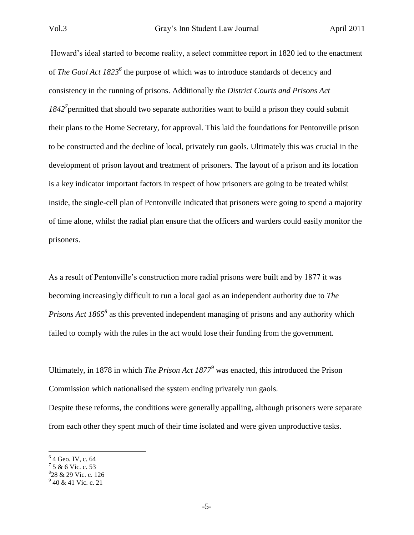Howard"s ideal started to become reality, a select committee report in 1820 led to the enactment of *The Gaol Act 1823<sup>6</sup>* the purpose of which was to introduce standards of decency and consistency in the running of prisons. Additionally *the District Courts and Prisons Act*  1842<sup>7</sup> permitted that should two separate authorities want to build a prison they could submit their plans to the Home Secretary, for approval. This laid the foundations for Pentonville prison to be constructed and the decline of local, privately run gaols. Ultimately this was crucial in the development of prison layout and treatment of prisoners. The layout of a prison and its location is a key indicator important factors in respect of how prisoners are going to be treated whilst inside, the single-cell plan of Pentonville indicated that prisoners were going to spend a majority of time alone, whilst the radial plan ensure that the officers and warders could easily monitor the prisoners.

As a result of Pentonville"s construction more radial prisons were built and by 1877 it was becoming increasingly difficult to run a local gaol as an independent authority due to *The Prisons Act 1865<sup>8</sup>* as this prevented independent managing of prisons and any authority which failed to comply with the rules in the act would lose their funding from the government.

Ultimately, in 1878 in which *The Prison Act 1877<sup>9</sup>* was enacted, this introduced the Prison Commission which nationalised the system ending privately run gaols. Despite these reforms, the conditions were generally appalling, although prisoners were separate from each other they spent much of their time isolated and were given unproductive tasks.

<sup>&</sup>lt;sup>6</sup> 4 Geo. IV, c. 64

 $7,5,8,6,$  Vic. c. 53

<sup>8</sup> 28 & 29 Vic. c. 126

<sup>&</sup>lt;sup>9</sup> 40 & 41 Vic. c. 21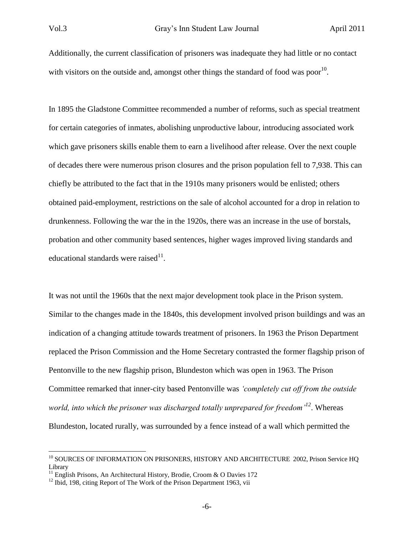Additionally, the current classification of prisoners was inadequate they had little or no contact with visitors on the outside and, amongst other things the standard of food was poor<sup>10</sup>.

In 1895 the Gladstone Committee recommended a number of reforms, such as special treatment for certain categories of inmates, abolishing unproductive labour, introducing associated work which gave prisoners skills enable them to earn a livelihood after release. Over the next couple of decades there were numerous prison closures and the prison population fell to 7,938. This can chiefly be attributed to the fact that in the 1910s many prisoners would be enlisted; others obtained paid-employment, restrictions on the sale of alcohol accounted for a drop in relation to drunkenness. Following the war the in the 1920s, there was an increase in the use of borstals, probation and other community based sentences, higher wages improved living standards and educational standards were raised $11$ .

It was not until the 1960s that the next major development took place in the Prison system. Similar to the changes made in the 1840s, this development involved prison buildings and was an indication of a changing attitude towards treatment of prisoners. In 1963 the Prison Department replaced the Prison Commission and the Home Secretary contrasted the former flagship prison of Pentonville to the new flagship prison, Blundeston which was open in 1963. The Prison Committee remarked that inner-city based Pentonville was *"completely cut off from the outside world, into which the prisoner was discharged totally unprepared for freedom"<sup>12</sup>*. Whereas Blundeston, located rurally, was surrounded by a fence instead of a wall which permitted the

<sup>&</sup>lt;sup>10</sup> SOURCES OF INFORMATION ON PRISONERS, HISTORY AND ARCHITECTURE 2002, Prison Service HQ Library

<sup>&</sup>lt;sup>11</sup> English Prisons, An Architectural History, Brodie, Croom & O Davies 172

 $12$  Ibid, 198, citing Report of The Work of the Prison Department 1963, vii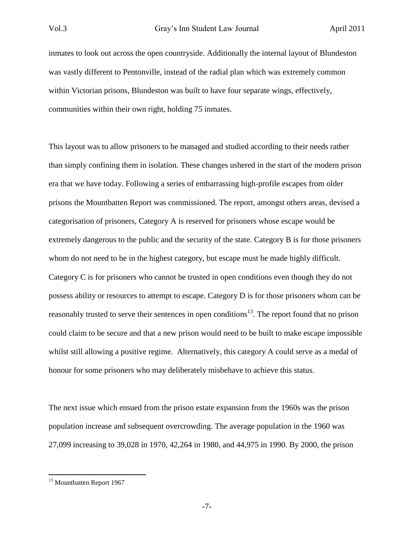inmates to look out across the open countryside. Additionally the internal layout of Blundeston was vastly different to Pentonville, instead of the radial plan which was extremely common within Victorian prisons, Blundeston was built to have four separate wings, effectively, communities within their own right, holding 75 inmates.

This layout was to allow prisoners to be managed and studied according to their needs rather than simply confining them in isolation. These changes ushered in the start of the modern prison era that we have today. Following a series of embarrassing high-profile escapes from older prisons the Mountbatten Report was commissioned. The report, amongst others areas, devised a categorisation of prisoners, Category A is reserved for prisoners whose escape would be extremely dangerous to the public and the security of the state. Category B is for those prisoners whom do not need to be in the highest category, but escape must be made highly difficult. Category C is for prisoners who cannot be trusted in open conditions even though they do not possess ability or resources to attempt to escape. Category D is for those prisoners whom can be reasonably trusted to serve their sentences in open conditions<sup>13</sup>. The report found that no prison could claim to be secure and that a new prison would need to be built to make escape impossible whilst still allowing a positive regime. Alternatively, this category A could serve as a medal of honour for some prisoners who may deliberately misbehave to achieve this status.

The next issue which ensued from the prison estate expansion from the 1960s was the prison population increase and subsequent overcrowding. The average population in the 1960 was 27,099 increasing to 39,028 in 1970, 42,264 in 1980, and 44,975 in 1990. By 2000, the prison

<sup>&</sup>lt;sup>13</sup> Mountbatten Report 1967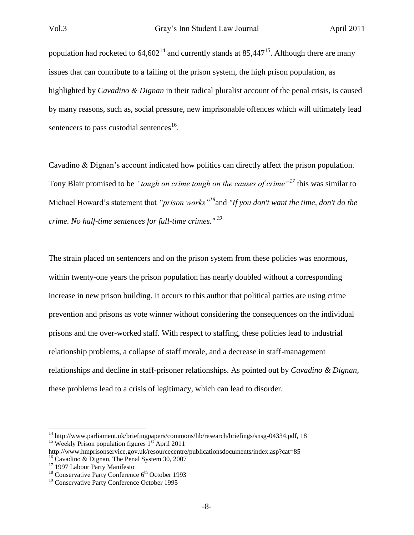population had rocketed to  $64,602^{14}$  and currently stands at  $85,447^{15}$ . Although there are many issues that can contribute to a failing of the prison system, the high prison population, as highlighted by *Cavadino & Dignan* in their radical pluralist account of the penal crisis, is caused by many reasons, such as, social pressure, new imprisonable offences which will ultimately lead sentencers to pass custodial sentences<sup>16</sup>.

Cavadino & Dignan's account indicated how politics can directly affect the prison population. Tony Blair promised to be *"tough on crime tough on the causes of crime"<sup>17</sup>* this was similar to Michael Howard"s statement that *"prison works"<sup>18</sup>*and *"If you don't want the time, don't do the crime. No half-time sentences for full-time crimes." <sup>19</sup>*

The strain placed on sentencers and on the prison system from these policies was enormous, within twenty-one years the prison population has nearly doubled without a corresponding increase in new prison building. It occurs to this author that political parties are using crime prevention and prisons as vote winner without considering the consequences on the individual prisons and the over-worked staff. With respect to staffing, these policies lead to industrial relationship problems, a collapse of staff morale, and a decrease in staff-management relationships and decline in staff-prisoner relationships. As pointed out by *Cavadino & Dignan,*  these problems lead to a crisis of legitimacy, which can lead to disorder.

<sup>&</sup>lt;sup>14</sup> http://www.parliament.uk/briefingpapers/commons/lib/research/briefings/snsg-04334.pdf, 18 <sup>15</sup> Weekly Prison population figures  $1<sup>st</sup>$  April 2011

http://www.hmprisonservice.gov.uk/resourcecentre/publicationsdocuments/index.asp?cat=85 <sup>16</sup> Cavadino & Dignan, The Penal System 30, 2007

<sup>&</sup>lt;sup>17</sup> 1997 Labour Party Manifesto

 $18$  Conservative Party Conference  $6<sup>th</sup>$  October 1993

<sup>&</sup>lt;sup>19</sup> Conservative Party Conference October 1995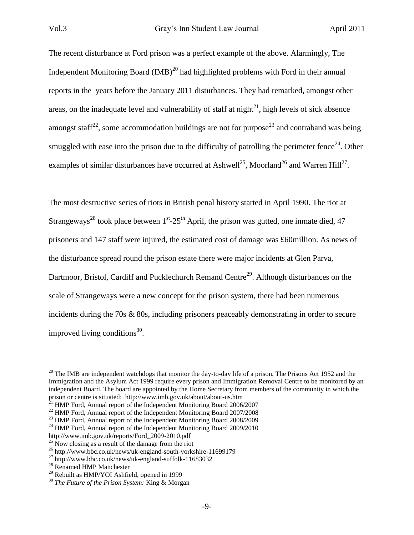The recent disturbance at Ford prison was a perfect example of the above. Alarmingly, The Independent Monitoring Board  $(IMB)^{20}$  had highlighted problems with Ford in their annual reports in the years before the January 2011 disturbances. They had remarked, amongst other areas, on the inadequate level and vulnerability of staff at night<sup>21</sup>, high levels of sick absence amongst staff<sup>22</sup>, some accommodation buildings are not for purpose<sup>23</sup> and contraband was being smuggled with ease into the prison due to the difficulty of patrolling the perimeter fence<sup>24</sup>. Other examples of similar disturbances have occurred at Ashwell<sup>25</sup>, Moorland<sup>26</sup> and Warren Hill<sup>27</sup>.

The most destructive series of riots in British penal history started in April 1990. The riot at Strangeways<sup>28</sup> took place between  $1<sup>st</sup>$ -25<sup>th</sup> April, the prison was gutted, one inmate died, 47 prisoners and 147 staff were injured, the estimated cost of damage was £60million. As news of the disturbance spread round the prison estate there were major incidents at Glen Parva, Dartmoor, Bristol, Cardiff and Pucklechurch Remand Centre<sup>29</sup>. Although disturbances on the scale of Strangeways were a new concept for the prison system, there had been numerous incidents during the 70s & 80s, including prisoners peaceably demonstrating in order to secure improved living conditions<sup>30</sup>.

 $^{20}$  The IMB are independent watchdogs that monitor the day-to-day life of a prison. The Prisons Act 1952 and the Immigration and the Asylum Act 1999 require every prison and Immigration Removal Centre to be monitored by an independent Board. The board are appointed by the Home Secretary from members of the community in which the prison or centre is situated: http://www.imb.gov.uk/about/about-us.htm

 $^{21}$  HMP Ford, Annual report of the Independent Monitoring Board 2006/2007

<sup>&</sup>lt;sup>22</sup> HMP Ford, Annual report of the Independent Monitoring Board 2007/2008

<sup>&</sup>lt;sup>23</sup> HMP Ford, Annual report of the Independent Monitoring Board 2008/2009

<sup>&</sup>lt;sup>24</sup> HMP Ford, Annual report of the Independent Monitoring Board 2009/2010

http://www.imb.gov.uk/reports/Ford\_2009-2010.pdf

 $^{25}$  Now closing as a result of the damage from the riot

<sup>26</sup> http://www.bbc.co.uk/news/uk-england-south-yorkshire-11699179

 $^{27}$  http://www.bbc.co.uk/news/uk-england-suffolk-11683032

<sup>28</sup> Renamed HMP Manchester

 $29$  Rebuilt as HMP/YOI Ashfield, opened in 1999

<sup>30</sup> *The Future of the Prison System:* King & Morgan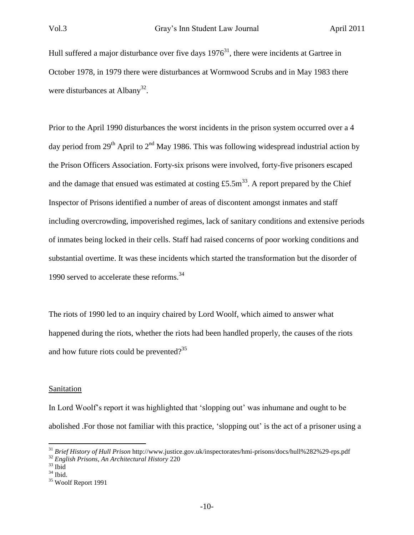Hull suffered a major disturbance over five days  $1976<sup>31</sup>$ , there were incidents at Gartree in October 1978, in 1979 there were disturbances at Wormwood Scrubs and in May 1983 there were disturbances at Albany<sup>32</sup>.

Prior to the April 1990 disturbances the worst incidents in the prison system occurred over a 4 day period from 29<sup>th</sup> April to 2<sup>nd</sup> May 1986. This was following widespread industrial action by the Prison Officers Association. Forty-six prisons were involved, forty-five prisoners escaped and the damage that ensued was estimated at costing £5.5m<sup>33</sup>. A report prepared by the Chief Inspector of Prisons identified a number of areas of discontent amongst inmates and staff including overcrowding, impoverished regimes, lack of sanitary conditions and extensive periods of inmates being locked in their cells. Staff had raised concerns of poor working conditions and substantial overtime. It was these incidents which started the transformation but the disorder of 1990 served to accelerate these reforms.<sup>34</sup>

The riots of 1990 led to an inquiry chaired by Lord Woolf, which aimed to answer what happened during the riots, whether the riots had been handled properly, the causes of the riots and how future riots could be prevented?<sup>35</sup>

#### **Sanitation**

In Lord Woolf"s report it was highlighted that "slopping out" was inhumane and ought to be abolished . For those not familiar with this practice, 'slopping out' is the act of a prisoner using a

<sup>31</sup> *Brief History of Hull Prison* http://www.justice.gov.uk/inspectorates/hmi-prisons/docs/hull%282%29-rps.pdf

<sup>32</sup> *English Prisons, An Architectural History* 220

 $33$  Ibid

 $34$  Ibid.

<sup>35</sup> Woolf Report 1991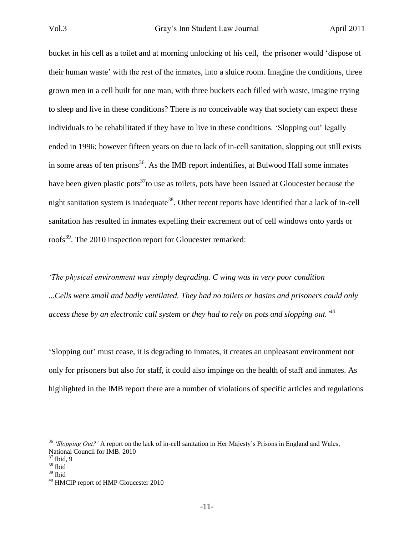bucket in his cell as a toilet and at morning unlocking of his cell, the prisoner would "dispose of their human waste" with the rest of the inmates, into a sluice room. Imagine the conditions, three grown men in a cell built for one man, with three buckets each filled with waste, imagine trying to sleep and live in these conditions? There is no conceivable way that society can expect these individuals to be rehabilitated if they have to live in these conditions. "Slopping out" legally ended in 1996; however fifteen years on due to lack of in-cell sanitation, slopping out still exists in some areas of ten prisons<sup>36</sup>. As the IMB report indentifies, at Bulwood Hall some inmates have been given plastic pots<sup>37</sup>to use as toilets, pots have been issued at Gloucester because the night sanitation system is inadequate<sup>38</sup>. Other recent reports have identified that a lack of in-cell sanitation has resulted in inmates expelling their excrement out of cell windows onto yards or roofs<sup>39</sup>. The 2010 inspection report for Gloucester remarked:

*"The physical environment was simply degrading. C wing was in very poor condition ...Cells were small and badly ventilated. They had no toilets or basins and prisoners could only access these by an electronic call system or they had to rely on pots and slopping out."<sup>40</sup>*

"Slopping out" must cease, it is degrading to inmates, it creates an unpleasant environment not only for prisoners but also for staff, it could also impinge on the health of staff and inmates. As highlighted in the IMB report there are a number of violations of specific articles and regulations

<sup>&</sup>lt;sup>36</sup> 'Slopping Out?' A report on the lack of in-cell sanitation in Her Majesty's Prisons in England and Wales, National Council for IMB. 2010

<sup>37</sup> Ibid, 9

 $38$  Ibid

 $39$  Ibid

<sup>&</sup>lt;sup>40</sup> HMCIP report of HMP Gloucester 2010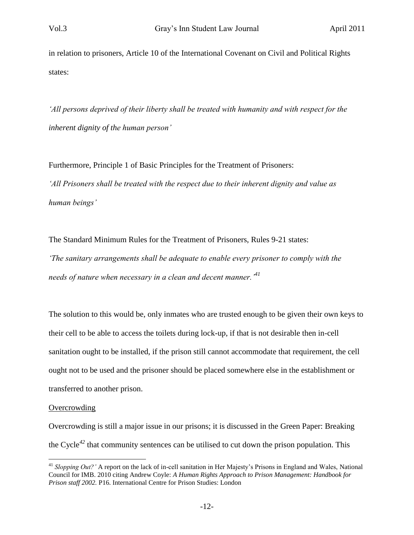in relation to prisoners, Article 10 of the International Covenant on Civil and Political Rights states:

*"All persons deprived of their liberty shall be treated with humanity and with respect for the inherent dignity of the human person"*

Furthermore, Principle 1 of Basic Principles for the Treatment of Prisoners: *"All Prisoners shall be treated with the respect due to their inherent dignity and value as human beings"*

The Standard Minimum Rules for the Treatment of Prisoners, Rules 9-21 states: *"The sanitary arrangements shall be adequate to enable every prisoner to comply with the needs of nature when necessary in a clean and decent manner."<sup>41</sup>*

The solution to this would be, only inmates who are trusted enough to be given their own keys to their cell to be able to access the toilets during lock-up, if that is not desirable then in-cell sanitation ought to be installed, if the prison still cannot accommodate that requirement, the cell ought not to be used and the prisoner should be placed somewhere else in the establishment or transferred to another prison.

#### **Overcrowding**

 $\overline{a}$ 

Overcrowding is still a major issue in our prisons; it is discussed in the Green Paper: Breaking the Cycle*<sup>42</sup>* that community sentences can be utilised to cut down the prison population. This

<sup>&</sup>lt;sup>41</sup> *Slopping Out?'* A report on the lack of in-cell sanitation in Her Majesty's Prisons in England and Wales, National Council for IMB. 2010 citing Andrew Coyle: *A Human Rights Approach to Prison Management: Handbook for Prison staff 2002.* P16. International Centre for Prison Studies: London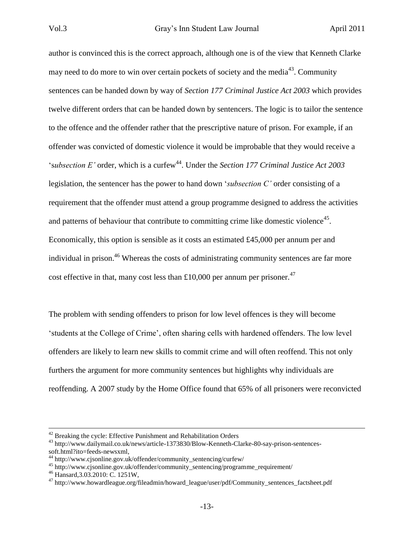author is convinced this is the correct approach, although one is of the view that Kenneth Clarke may need to do more to win over certain pockets of society and the media<sup>43</sup>. Community sentences can be handed down by way of *Section 177 Criminal Justice Act 2003* which provides twelve different orders that can be handed down by sentencers. The logic is to tailor the sentence to the offence and the offender rather that the prescriptive nature of prison. For example, if an offender was convicted of domestic violence it would be improbable that they would receive a 'subsection E' order, which is a curfew<sup>44</sup>. Under the *Section 177 Criminal Justice Act 2003* legislation, the sentencer has the power to hand down "*subsection C"* order consisting of a requirement that the offender must attend a group programme designed to address the activities and patterns of behaviour that contribute to committing crime like domestic violence<sup>45</sup>. Economically, this option is sensible as it costs an estimated £45,000 per annum per and individual in prison.<sup>46</sup> Whereas the costs of administrating community sentences are far more cost effective in that, many cost less than £10,000 per annum per prisoner.<sup>47</sup>

The problem with sending offenders to prison for low level offences is they will become "students at the College of Crime", often sharing cells with hardened offenders. The low level offenders are likely to learn new skills to commit crime and will often reoffend. This not only furthers the argument for more community sentences but highlights why individuals are reoffending. A 2007 study by the Home Office found that 65% of all prisoners were reconvicted

 $42$  Breaking the cycle: Effective Punishment and Rehabilitation Orders

<sup>43</sup> http://www.dailymail.co.uk/news/article-1373830/Blow-Kenneth-Clarke-80-say-prison-sentencessoft.html?ito=feeds-newsxml,

 $^{44}$  http://www.cjsonline.gov.uk/offender/community\_sentencing/curfew/

<sup>45</sup> http://www.cjsonline.gov.uk/offender/community\_sentencing/programme\_requirement/

<sup>46</sup> Hansard,3.03.2010: C. 1251W,

<sup>&</sup>lt;sup>47</sup> http://www.howardleague.org/fileadmin/howard\_league/user/pdf/Community\_sentences\_factsheet.pdf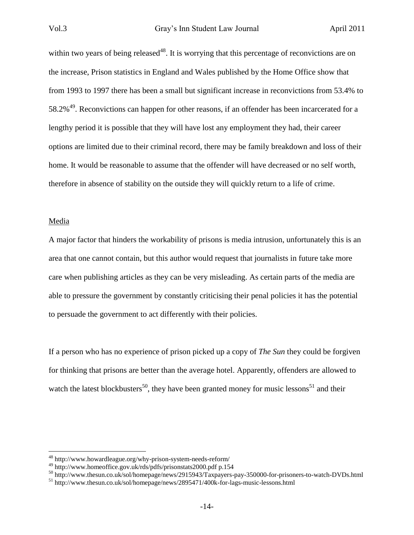within two years of being released<sup>48</sup>. It is worrying that this percentage of reconvictions are on the increase, Prison statistics in England and Wales published by the Home Office show that from 1993 to 1997 there has been a small but significant increase in reconvictions from 53.4% to 58.2%<sup>49</sup>. Reconvictions can happen for other reasons, if an offender has been incarcerated for a lengthy period it is possible that they will have lost any employment they had, their career options are limited due to their criminal record, there may be family breakdown and loss of their home. It would be reasonable to assume that the offender will have decreased or no self worth, therefore in absence of stability on the outside they will quickly return to a life of crime.

#### Media

 $\overline{a}$ 

A major factor that hinders the workability of prisons is media intrusion, unfortunately this is an area that one cannot contain, but this author would request that journalists in future take more care when publishing articles as they can be very misleading. As certain parts of the media are able to pressure the government by constantly criticising their penal policies it has the potential to persuade the government to act differently with their policies.

If a person who has no experience of prison picked up a copy of *The Sun* they could be forgiven for thinking that prisons are better than the average hotel. Apparently, offenders are allowed to watch the latest blockbusters<sup>50</sup>, they have been granted money for music lessons<sup>51</sup> and their

<sup>48</sup> http://www.howardleague.org/why-prison-system-needs-reform/

 $^{49}$  http://www.homeoffice.gov.uk/rds/pdfs/prisonstats2000.pdf p.154

<sup>50</sup> http://www.thesun.co.uk/sol/homepage/news/2915943/Taxpayers-pay-350000-for-prisoners-to-watch-DVDs.html

<sup>51</sup> http://www.thesun.co.uk/sol/homepage/news/2895471/400k-for-lags-music-lessons.html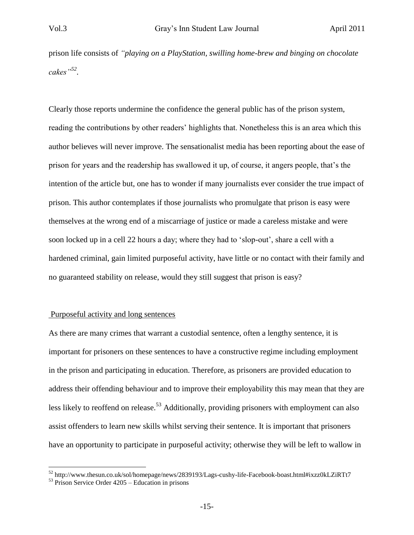prison life consists of *"playing on a PlayStation, swilling home-brew and binging on chocolate cakes"<sup>52</sup> .* 

Clearly those reports undermine the confidence the general public has of the prison system, reading the contributions by other readers' highlights that. Nonetheless this is an area which this author believes will never improve. The sensationalist media has been reporting about the ease of prison for years and the readership has swallowed it up, of course, it angers people, that"s the intention of the article but, one has to wonder if many journalists ever consider the true impact of prison. This author contemplates if those journalists who promulgate that prison is easy were themselves at the wrong end of a miscarriage of justice or made a careless mistake and were soon locked up in a cell 22 hours a day; where they had to 'slop-out', share a cell with a hardened criminal, gain limited purposeful activity, have little or no contact with their family and no guaranteed stability on release, would they still suggest that prison is easy?

#### Purposeful activity and long sentences

As there are many crimes that warrant a custodial sentence, often a lengthy sentence, it is important for prisoners on these sentences to have a constructive regime including employment in the prison and participating in education. Therefore, as prisoners are provided education to address their offending behaviour and to improve their employability this may mean that they are less likely to reoffend on release.<sup>53</sup> Additionally, providing prisoners with employment can also assist offenders to learn new skills whilst serving their sentence. It is important that prisoners have an opportunity to participate in purposeful activity; otherwise they will be left to wallow in

<sup>52</sup> http://www.thesun.co.uk/sol/homepage/news/2839193/Lags-cushy-life-Facebook-boast.html#ixzz0kLZiRTt7

 $53$  Prison Service Order  $4205$  – Education in prisons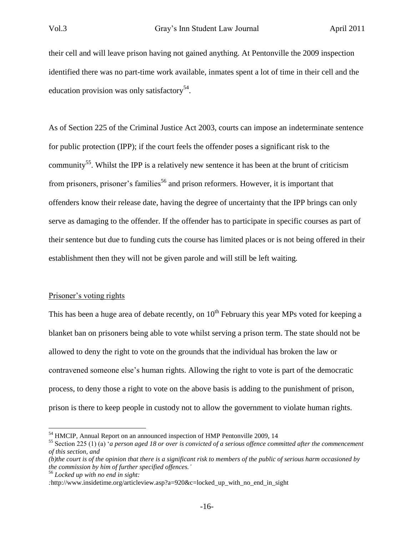their cell and will leave prison having not gained anything. At Pentonville the 2009 inspection identified there was no part-time work available, inmates spent a lot of time in their cell and the education provision was only satisfactory<sup>54</sup>.

As of Section 225 of the Criminal Justice Act 2003, courts can impose an indeterminate sentence for public protection (IPP); if the court feels the offender poses a significant risk to the community<sup>55</sup>. Whilst the IPP is a relatively new sentence it has been at the brunt of criticism from prisoners, prisoner's families<sup>56</sup> and prison reformers. However, it is important that offenders know their release date, having the degree of uncertainty that the IPP brings can only serve as damaging to the offender. If the offender has to participate in specific courses as part of their sentence but due to funding cuts the course has limited places or is not being offered in their establishment then they will not be given parole and will still be left waiting.

#### Prisoner's voting rights

This has been a huge area of debate recently, on  $10<sup>th</sup>$  February this year MPs voted for keeping a blanket ban on prisoners being able to vote whilst serving a prison term. The state should not be allowed to deny the right to vote on the grounds that the individual has broken the law or contravened someone else"s human rights. Allowing the right to vote is part of the democratic process, to deny those a right to vote on the above basis is adding to the punishment of prison, prison is there to keep people in custody not to allow the government to violate human rights.

<sup>56</sup> *Locked up with no end in sight:* 

<sup>&</sup>lt;sup>54</sup> HMCIP, Annual Report on an announced inspection of HMP Pentonville 2009, 14

<sup>55</sup> Section 225 (1) (a) "*a person aged 18 or over is convicted of a serious offence committed after the commencement of this section, and*

*<sup>(</sup>b)the court is of the opinion that there is a significant risk to members of the public of serious harm occasioned by the commission by him of further specified offences."*

*<sup>:</sup>*http://www.insidetime.org/articleview.asp?a=920&c=locked\_up\_with\_no\_end\_in\_sight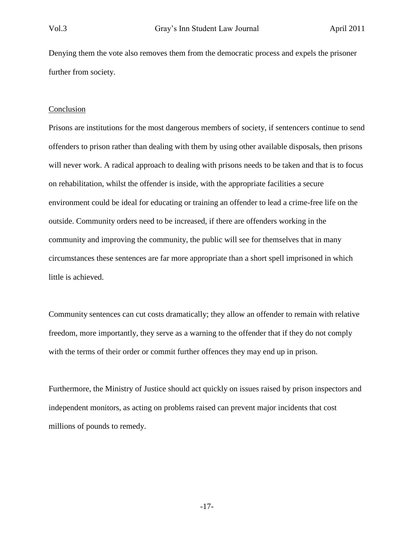Denying them the vote also removes them from the democratic process and expels the prisoner further from society.

#### Conclusion

Prisons are institutions for the most dangerous members of society, if sentencers continue to send offenders to prison rather than dealing with them by using other available disposals, then prisons will never work. A radical approach to dealing with prisons needs to be taken and that is to focus on rehabilitation, whilst the offender is inside, with the appropriate facilities a secure environment could be ideal for educating or training an offender to lead a crime-free life on the outside. Community orders need to be increased, if there are offenders working in the community and improving the community, the public will see for themselves that in many circumstances these sentences are far more appropriate than a short spell imprisoned in which little is achieved.

Community sentences can cut costs dramatically; they allow an offender to remain with relative freedom, more importantly, they serve as a warning to the offender that if they do not comply with the terms of their order or commit further offences they may end up in prison.

Furthermore, the Ministry of Justice should act quickly on issues raised by prison inspectors and independent monitors, as acting on problems raised can prevent major incidents that cost millions of pounds to remedy.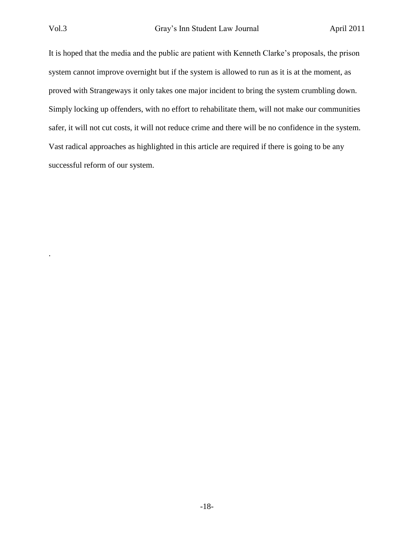.

It is hoped that the media and the public are patient with Kenneth Clarke"s proposals, the prison system cannot improve overnight but if the system is allowed to run as it is at the moment, as proved with Strangeways it only takes one major incident to bring the system crumbling down. Simply locking up offenders, with no effort to rehabilitate them, will not make our communities safer, it will not cut costs, it will not reduce crime and there will be no confidence in the system. Vast radical approaches as highlighted in this article are required if there is going to be any successful reform of our system.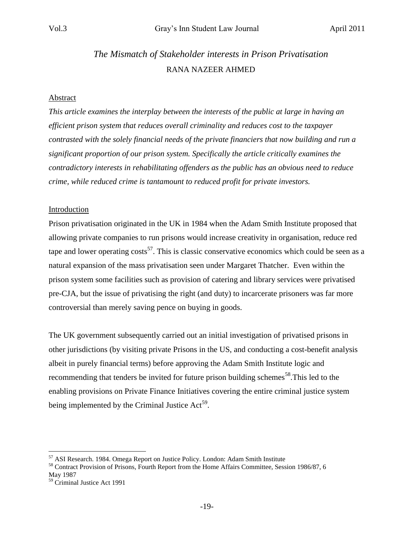# *The Mismatch of Stakeholder interests in Prison Privatisation* RANA NAZEER AHMED

#### Abstract

*This article examines the interplay between the interests of the public at large in having an efficient prison system that reduces overall criminality and reduces cost to the taxpayer contrasted with the solely financial needs of the private financiers that now building and run a significant proportion of our prison system. Specifically the article critically examines the contradictory interests in rehabilitating offenders as the public has an obvious need to reduce crime, while reduced crime is tantamount to reduced profit for private investors.*

#### Introduction

Prison privatisation originated in the UK in 1984 when the Adam Smith Institute proposed that allowing private companies to run prisons would increase creativity in organisation, reduce red tape and lower operating  $costs^{57}$ . This is classic conservative economics which could be seen as a natural expansion of the mass privatisation seen under Margaret Thatcher. Even within the prison system some facilities such as provision of catering and library services were privatised pre-CJA, but the issue of privatising the right (and duty) to incarcerate prisoners was far more controversial than merely saving pence on buying in goods.

The UK government subsequently carried out an initial investigation of privatised prisons in other jurisdictions (by visiting private Prisons in the US, and conducting a cost-benefit analysis albeit in purely financial terms) before approving the Adam Smith Institute logic and recommending that tenders be invited for future prison building schemes<sup>58</sup>. This led to the enabling provisions on Private Finance Initiatives covering the entire criminal justice system being implemented by the Criminal Justice  $Act^{59}$ .

<sup>&</sup>lt;sup>57</sup> ASI Research. 1984. Omega Report on Justice Policy. London: Adam Smith Institute

<sup>&</sup>lt;sup>58</sup> Contract Provision of Prisons, Fourth Report from the Home Affairs Committee, Session 1986/87, 6 May 1987

<sup>59</sup> Criminal Justice Act 1991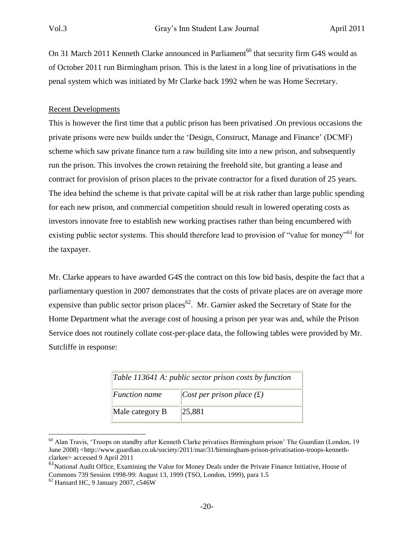On 31 March 2011 Kenneth Clarke announced in Parliament<sup>60</sup> that security firm G4S would as of October 2011 run Birmingham prison. This is the latest in a long line of privatisations in the penal system which was initiated by Mr Clarke back 1992 when he was Home Secretary.

## Recent Developments

This is however the first time that a public prison has been privatised .On previous occasions the private prisons were new builds under the "Design, Construct, Manage and Finance" (DCMF) scheme which saw private finance turn a raw building site into a new prison, and subsequently run the prison. This involves the crown retaining the freehold site, but granting a lease and contract for provision of prison places to the private contractor for a fixed duration of 25 years. The idea behind the scheme is that private capital will be at risk rather than large public spending for each new prison, and commercial competition should result in lowered operating costs as investors innovate free to establish new working practises rather than being encumbered with existing public sector systems. This should therefore lead to provision of "value for money"<sup>61</sup> for the taxpayer.

Mr. Clarke appears to have awarded G4S the contract on this low bid basis, despite the fact that a parliamentary question in 2007 demonstrates that the costs of private places are on average more expensive than public sector prison places<sup>62</sup>. Mr. Garnier asked the Secretary of State for the Home Department what the average cost of housing a prison per year was and, while the Prison Service does not routinely collate cost-per-place data, the following tables were provided by Mr. Sutcliffe in response:

| Table 113641 A: public sector prison costs by function |                             |  |
|--------------------------------------------------------|-----------------------------|--|
| <b>Function name</b>                                   | Cost per prison place $(f)$ |  |
| Male category B                                        | 25,881                      |  |

<sup>&</sup>lt;sup>60</sup> Alan Travis, 'Troops on standby after Kenneth Clarke privatises Birmingham prison' The Guardian (London, 19 June 2008) <http://www.guardian.co.uk/society/2011/mar/31/birmingham-prison-privatisation-troops-kennethclarkee> accessed 9 April 2011

<sup>61&</sup>lt;br>National Audit Office, Examining the Value for Money Deals under the Private Finance Initiative, House of Commons 739 Session 1998-99: August 13, 1999 (TSO, London, 1999), para 1.5

 $62$  Hansard HC, 9 January 2007, c546W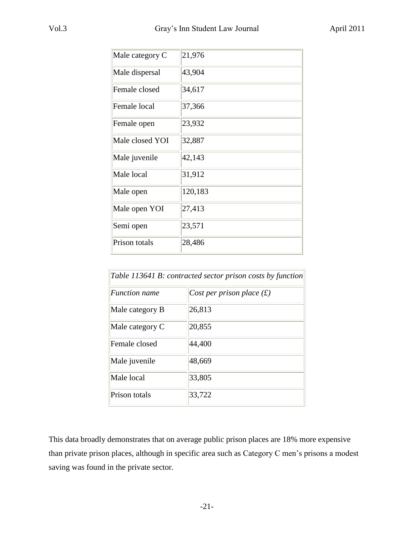| Male category C | 21,976  |
|-----------------|---------|
| Male dispersal  | 43,904  |
| Female closed   | 34,617  |
| Female local    | 37,366  |
| Female open     | 23,932  |
| Male closed YOI | 32,887  |
| Male juvenile   | 42,143  |
| Male local      | 31,912  |
| Male open       | 120,183 |
| Male open YOI   | 27,413  |
| Semi open       | 23,571  |
| Prison totals   | 28,486  |

| Table 113641 B: contracted sector prison costs by function |                             |  |
|------------------------------------------------------------|-----------------------------|--|
| <i>Function name</i>                                       | Cost per prison place $(f)$ |  |
| Male category B                                            | 26,813                      |  |
| Male category C                                            | 20,855                      |  |
| Female closed                                              | 44,400                      |  |
| Male juvenile                                              | 48,669                      |  |
| Male local                                                 | 33,805                      |  |
| Prison totals                                              | 33,722                      |  |

This data broadly demonstrates that on average public prison places are 18% more expensive than private prison places, although in specific area such as Category C men"s prisons a modest saving was found in the private sector.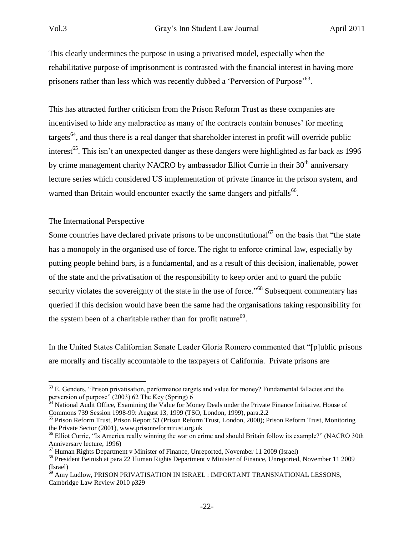This clearly undermines the purpose in using a privatised model, especially when the rehabilitative purpose of imprisonment is contrasted with the financial interest in having more prisoners rather than less which was recently dubbed a 'Perversion of Purpose'<sup>63</sup>.

This has attracted further criticism from the Prison Reform Trust as these companies are incentivised to hide any malpractice as many of the contracts contain bonuses' for meeting targets<sup>64</sup>, and thus there is a real danger that shareholder interest in profit will override public interest<sup>65</sup>. This isn't an unexpected danger as these dangers were highlighted as far back as 1996 by crime management charity NACRO by ambassador Elliot Currie in their 30<sup>th</sup> anniversary lecture series which considered US implementation of private finance in the prison system, and warned than Britain would encounter exactly the same dangers and pitfalls<sup>66</sup>.

## The International Perspective

Some countries have declared private prisons to be unconstitutional<sup>67</sup> on the basis that "the state" has a monopoly in the organised use of force. The right to enforce criminal law, especially by putting people behind bars, is a fundamental, and as a result of this decision, inalienable, power of the state and the privatisation of the responsibility to keep order and to guard the public security violates the sovereignty of the state in the use of force."<sup>68</sup> Subsequent commentary has queried if this decision would have been the same had the organisations taking responsibility for the system been of a charitable rather than for profit nature<sup>69</sup>.

In the United States Californian Senate Leader Gloria Romero commented that "[p]ublic prisons are morally and fiscally accountable to the taxpayers of California. Private prisons are

<sup>&</sup>lt;sup>63</sup> E. Genders, "Prison privatisation, performance targets and value for money? Fundamental fallacies and the perversion of purpose" (2003) 62 The Key (Spring) 6

<sup>&</sup>lt;sup>64</sup> National Audit Office, Examining the Value for Money Deals under the Private Finance Initiative, House of Commons 739 Session 1998-99: August 13, 1999 (TSO, London, 1999), para.2.2

<sup>&</sup>lt;sup>65</sup> Prison Reform Trust, Prison Report 53 (Prison Reform Trust, London, 2000); Prison Reform Trust, Monitoring the Private Sector (2001), www.prisonreformtrust.org.uk

<sup>&</sup>lt;sup>66</sup> Elliot Currie, "Is America really winning the war on crime and should Britain follow its example?" (NACRO 30th Anniversary lecture, 1996)

<sup>67</sup> Human Rights Department v Minister of Finance, Unreported, November 11 2009 (Israel)

<sup>68</sup> President Beinish at para 22 Human Rights Department v Minister of Finance, Unreported, November 11 2009 (Israel)

 $^{69}$  Amy Ludlow, PRISON PRIVATISATION IN ISRAEL : IMPORTANT TRANSNATIONAL LESSONS, Cambridge Law Review 2010 p329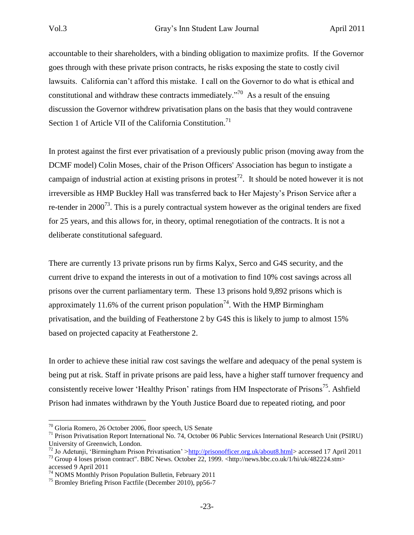accountable to their shareholders, with a binding obligation to maximize profits. If the Governor goes through with these private prison contracts, he risks exposing the state to costly civil lawsuits. California can"t afford this mistake. I call on the Governor to do what is ethical and constitutional and withdraw these contracts immediately.<sup> $n^{70}$ </sup> As a result of the ensuing discussion the Governor withdrew privatisation plans on the basis that they would contravene Section 1 of Article VII of the California Constitution.<sup>71</sup>

In protest against the first ever privatisation of a previously public prison (moving away from the DCMF model) Colin Moses, chair of the Prison Officers' Association has begun to instigate a campaign of industrial action at existing prisons in protest<sup>72</sup>. It should be noted however it is not irreversible as HMP Buckley Hall was transferred back to Her Majesty"s Prison Service after a re-tender in  $2000^{73}$ . This is a purely contractual system however as the original tenders are fixed for 25 years, and this allows for, in theory, optimal renegotiation of the contracts. It is not a deliberate constitutional safeguard.

There are currently 13 private prisons run by firms Kalyx, Serco and G4S security, and the current drive to expand the interests in out of a motivation to find 10% cost savings across all prisons over the current parliamentary term. These 13 prisons hold 9,892 prisons which is approximately 11.6% of the current prison population<sup>74</sup>. With the HMP Birmingham privatisation, and the building of Featherstone 2 by G4S this is likely to jump to almost 15% based on projected capacity at Featherstone 2.

In order to achieve these initial raw cost savings the welfare and adequacy of the penal system is being put at risk. Staff in private prisons are paid less, have a higher staff turnover frequency and consistently receive lower 'Healthy Prison' ratings from HM Inspectorate of Prisons<sup>75</sup>. Ashfield Prison had inmates withdrawn by the Youth Justice Board due to repeated rioting, and poor

<sup>70</sup> Gloria Romero, 26 October 2006, floor speech, US Senate

<sup>71</sup> Prison Privatisation Report International No. 74, October 06 Public Services International Research Unit (PSIRU) University of Greenwich, London.

<sup>&</sup>lt;sup>72</sup> Jo Adetunji, 'Birmingham Prison Privatisation' [>http://prisonofficer.org.uk/about8.html>](http://prisonofficer.org.uk/about8.html) accessed 17 April 2011

<sup>73</sup> Group 4 loses prison contract". BBC News. October 22, 1999. <http://news.bbc.co.uk/1/hi/uk/482224.stm> accessed 9 April 2011

<sup>&</sup>lt;sup>74</sup> NOMS Monthly Prison Population Bulletin, February 2011

<sup>75</sup> Bromley Briefing Prison Factfile (December 2010), pp56-7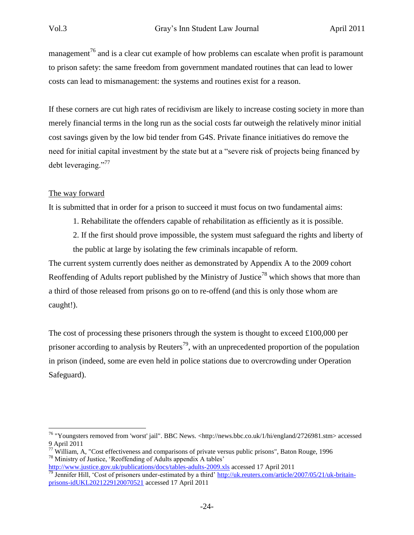management<sup>76</sup> and is a clear cut example of how problems can escalate when profit is paramount to prison safety: the same freedom from government mandated routines that can lead to lower costs can lead to mismanagement: the systems and routines exist for a reason.

If these corners are cut high rates of recidivism are likely to increase costing society in more than merely financial terms in the long run as the social costs far outweigh the relatively minor initial cost savings given by the low bid tender from G4S. Private finance initiatives do remove the need for initial capital investment by the state but at a "severe risk of projects being financed by debt leveraging."<sup>77</sup>

## The way forward

 $\overline{a}$ 

It is submitted that in order for a prison to succeed it must focus on two fundamental aims:

- 1. Rehabilitate the offenders capable of rehabilitation as efficiently as it is possible.
- 2. If the first should prove impossible, the system must safeguard the rights and liberty of the public at large by isolating the few criminals incapable of reform.

The current system currently does neither as demonstrated by Appendix A to the 2009 cohort Reoffending of Adults report published by the Ministry of Justice<sup>78</sup> which shows that more than a third of those released from prisons go on to re-offend (and this is only those whom are caught!).

The cost of processing these prisoners through the system is thought to exceed £100,000 per prisoner according to analysis by Reuters<sup>79</sup>, with an unprecedented proportion of the population in prison (indeed, some are even held in police stations due to overcrowding under Operation Safeguard).

<sup>&</sup>lt;sup>76</sup> "Youngsters removed from 'worst' jail". BBC News. <http://news.bbc.co.uk/1/hi/england/2726981.stm> accessed 9 April 2011

 $77$  William, A, "Cost effectiveness and comparisons of private versus public prisons", Baton Rouge, 1996 <sup>78</sup> Ministry of Justice, "Reoffending of Adults appendix A tables"

<http://www.justice.gov.uk/publications/docs/tables-adults-2009.xls> accessed 17 April 2011 <sup>79</sup> Jennifer Hill, 'Cost of prisoners under-estimated by a third' [http://uk.reuters.com/article/2007/05/21/uk-britain-](http://uk.reuters.com/article/2007/05/21/uk-britain-prisons-idUKL2021229120070521)

[prisons-idUKL2021229120070521](http://uk.reuters.com/article/2007/05/21/uk-britain-prisons-idUKL2021229120070521) accessed 17 April 2011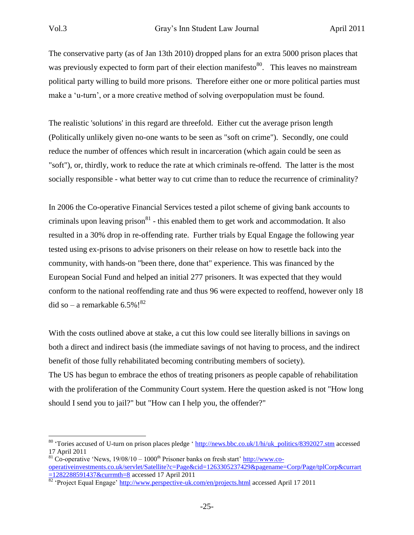The conservative party (as of Jan 13th 2010) dropped plans for an extra 5000 prison places that was previously expected to form part of their election manifesto<sup>80</sup>. This leaves no mainstream political party willing to build more prisons. Therefore either one or more political parties must make a 'u-turn', or a more creative method of solving overpopulation must be found.

The realistic 'solutions' in this regard are threefold. Either cut the average prison length (Politically unlikely given no-one wants to be seen as "soft on crime"). Secondly, one could reduce the number of offences which result in incarceration (which again could be seen as "soft"), or, thirdly, work to reduce the rate at which criminals re-offend. The latter is the most socially responsible - what better way to cut crime than to reduce the recurrence of criminality?

In 2006 the Co-operative Financial Services tested a pilot scheme of giving bank accounts to criminals upon leaving prison $81$  - this enabled them to get work and accommodation. It also resulted in a 30% drop in re-offending rate. Further trials by Equal Engage the following year tested using ex-prisons to advise prisoners on their release on how to resettle back into the community, with hands-on "been there, done that" experience. This was financed by the European Social Fund and helped an initial 277 prisoners. It was expected that they would conform to the national reoffending rate and thus 96 were expected to reoffend, however only 18 did so – a remarkable  $6.5\%$ !<sup>82</sup>

With the costs outlined above at stake, a cut this low could see literally billions in savings on both a direct and indirect basis (the immediate savings of not having to process, and the indirect benefit of those fully rehabilitated becoming contributing members of society). The US has begun to embrace the ethos of treating prisoners as people capable of rehabilitation with the proliferation of the Community Court system. Here the question asked is not "How long should I send you to jail?" but "How can I help you, the offender?"

<sup>&</sup>lt;sup>80</sup> 'Tories accused of U-turn on prison places pledge ' [http://news.bbc.co.uk/1/hi/uk\\_politics/8392027.stm](http://news.bbc.co.uk/1/hi/uk_politics/8392027.stm) accessed 17 April 2011

 $81 \text{ Co}$ -operative 'News,  $19/08/10 - 1000$ <sup>th</sup> Prisoner banks on fresh start' [http://www.co](http://www.co-operativeinvestments.co.uk/servlet/Satellite?c=Page&cid=1263305237429&pagename=Corp/Page/tplCorp&currart=1282288591437&currmth=8)[operativeinvestments.co.uk/servlet/Satellite?c=Page&cid=1263305237429&pagename=Corp/Page/tplCorp&currart](http://www.co-operativeinvestments.co.uk/servlet/Satellite?c=Page&cid=1263305237429&pagename=Corp/Page/tplCorp&currart=1282288591437&currmth=8) [=1282288591437&currmth=8](http://www.co-operativeinvestments.co.uk/servlet/Satellite?c=Page&cid=1263305237429&pagename=Corp/Page/tplCorp&currart=1282288591437&currmth=8) accessed 17 April 2011

<sup>&</sup>lt;sup>82</sup> 'Project Equal Engage'<http://www.perspective-uk.com/en/projects.html> accessed April 17 2011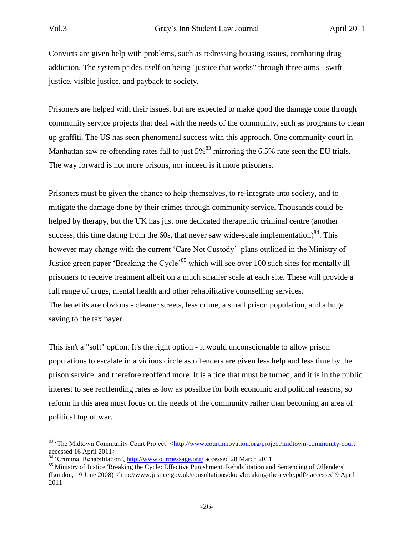Convicts are given help with problems, such as redressing housing issues, combating drug addiction. The system prides itself on being "justice that works" through three aims - swift justice, visible justice, and payback to society.

Prisoners are helped with their issues, but are expected to make good the damage done through community service projects that deal with the needs of the community, such as programs to clean up graffiti. The US has seen phenomenal success with this approach. One community court in Manhattan saw re-offending rates fall to just  $5\%$ <sup>83</sup> mirroring the 6.5% rate seen the EU trials. The way forward is not more prisons, nor indeed is it more prisoners.

Prisoners must be given the chance to help themselves, to re-integrate into society, and to mitigate the damage done by their crimes through community service. Thousands could be helped by therapy, but the UK has just one dedicated therapeutic criminal centre (another success, this time dating from the 60s, that never saw wide-scale implementation) $84$ . This however may change with the current "Care Not Custody" plans outlined in the Ministry of Justice green paper 'Breaking the Cycle<sup>35</sup> which will see over 100 such sites for mentally ill prisoners to receive treatment albeit on a much smaller scale at each site. These will provide a full range of drugs, mental health and other rehabilitative counselling services. The benefits are obvious - cleaner streets, less crime, a small prison population, and a huge saving to the tax payer.

This isn't a "soft" option. It's the right option - it would unconscionable to allow prison populations to escalate in a vicious circle as offenders are given less help and less time by the prison service, and therefore reoffend more. It is a tide that must be turned, and it is in the public interest to see reoffending rates as low as possible for both economic and political reasons, so reform in this area must focus on the needs of the community rather than becoming an area of political tug of war.

<sup>83</sup> The Midtown Community Court Project' [<http://www.courtinnovation.org/project/midtown-community-court](http://www.courtinnovation.org/project/midtown-community-court) accessed 16 April 2011>

<sup>84</sup> "Criminal Rehabilitation",<http://www.ourmessage.org/> accessed 28 March 2011

<sup>&</sup>lt;sup>85</sup> Ministry of Justice 'Breaking the Cycle: Effective Punishment, Rehabilitation and Sentencing of Offenders' (London, 19 June 2008) <http://www.justice.gov.uk/consultations/docs/breaking-the-cycle.pdf> accessed 9 April 2011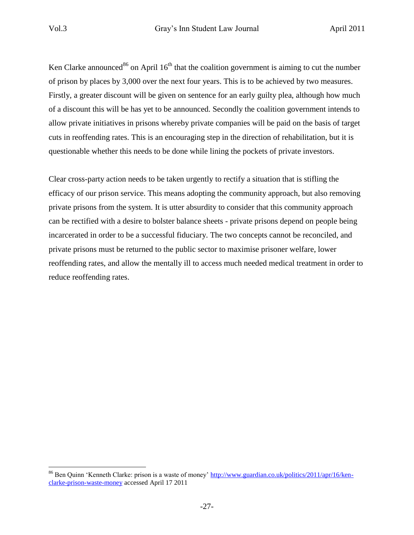Ken Clarke announced<sup>86</sup> on April  $16<sup>th</sup>$  that the coalition government is aiming to cut the number of prison by places by 3,000 over the next four years. This is to be achieved by two measures. Firstly, a greater discount will be given on sentence for an early guilty plea, although how much of a discount this will be has yet to be announced. Secondly the coalition government intends to allow private initiatives in prisons whereby private companies will be paid on the basis of target cuts in reoffending rates. This is an encouraging step in the direction of rehabilitation, but it is questionable whether this needs to be done while lining the pockets of private investors.

Clear cross-party action needs to be taken urgently to rectify a situation that is stifling the efficacy of our prison service. This means adopting the community approach, but also removing private prisons from the system. It is utter absurdity to consider that this community approach can be rectified with a desire to bolster balance sheets - private prisons depend on people being incarcerated in order to be a successful fiduciary. The two concepts cannot be reconciled, and private prisons must be returned to the public sector to maximise prisoner welfare, lower reoffending rates, and allow the mentally ill to access much needed medical treatment in order to reduce reoffending rates.

<sup>&</sup>lt;sup>86</sup> Ben Quinn 'Kenneth Clarke: prison is a waste of money' [http://www.guardian.co.uk/politics/2011/apr/16/ken](http://www.guardian.co.uk/politics/2011/apr/16/ken-clarke-prison-waste-money)[clarke-prison-waste-money](http://www.guardian.co.uk/politics/2011/apr/16/ken-clarke-prison-waste-money) accessed April 17 2011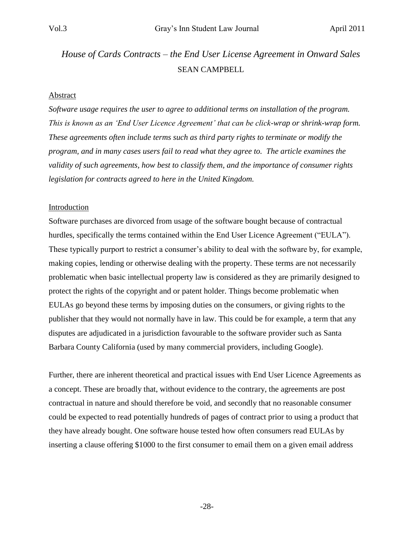# *House of Cards Contracts – the End User License Agreement in Onward Sales* SEAN CAMPBELL

#### Abstract

*Software usage requires the user to agree to additional terms on installation of the program. This is known as an "End User Licence Agreement" that can be click-wrap or shrink-wrap form. These agreements often include terms such as third party rights to terminate or modify the program, and in many cases users fail to read what they agree to. The article examines the validity of such agreements, how best to classify them, and the importance of consumer rights legislation for contracts agreed to here in the United Kingdom.*

#### Introduction

Software purchases are divorced from usage of the software bought because of contractual hurdles, specifically the terms contained within the End User Licence Agreement ("EULA"). These typically purport to restrict a consumer's ability to deal with the software by, for example, making copies, lending or otherwise dealing with the property. These terms are not necessarily problematic when basic intellectual property law is considered as they are primarily designed to protect the rights of the copyright and or patent holder. Things become problematic when EULAs go beyond these terms by imposing duties on the consumers, or giving rights to the publisher that they would not normally have in law. This could be for example, a term that any disputes are adjudicated in a jurisdiction favourable to the software provider such as Santa Barbara County California (used by many commercial providers, including Google).

Further, there are inherent theoretical and practical issues with End User Licence Agreements as a concept. These are broadly that, without evidence to the contrary, the agreements are post contractual in nature and should therefore be void, and secondly that no reasonable consumer could be expected to read potentially hundreds of pages of contract prior to using a product that they have already bought. One software house tested how often consumers read EULAs by inserting a clause offering \$1000 to the first consumer to email them on a given email address

-28-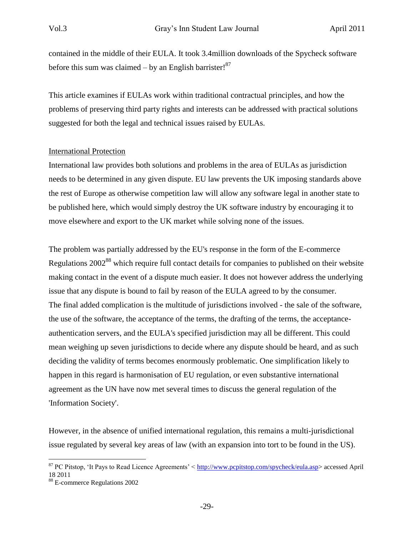contained in the middle of their EULA. It took 3.4million downloads of the Spycheck software before this sum was claimed – by an English barrister! $87$ 

This article examines if EULAs work within traditional contractual principles, and how the problems of preserving third party rights and interests can be addressed with practical solutions suggested for both the legal and technical issues raised by EULAs.

## International Protection

International law provides both solutions and problems in the area of EULAs as jurisdiction needs to be determined in any given dispute. EU law prevents the UK imposing standards above the rest of Europe as otherwise competition law will allow any software legal in another state to be published here, which would simply destroy the UK software industry by encouraging it to move elsewhere and export to the UK market while solving none of the issues.

The problem was partially addressed by the EU's response in the form of the E-commerce Regulations 2002<sup>88</sup> which require full contact details for companies to published on their website making contact in the event of a dispute much easier. It does not however address the underlying issue that any dispute is bound to fail by reason of the EULA agreed to by the consumer. The final added complication is the multitude of jurisdictions involved - the sale of the software, the use of the software, the acceptance of the terms, the drafting of the terms, the acceptanceauthentication servers, and the EULA's specified jurisdiction may all be different. This could mean weighing up seven jurisdictions to decide where any dispute should be heard, and as such deciding the validity of terms becomes enormously problematic. One simplification likely to happen in this regard is harmonisation of EU regulation, or even substantive international agreement as the UN have now met several times to discuss the general regulation of the 'Information Society'.

However, in the absence of unified international regulation, this remains a multi-jurisdictional issue regulated by several key areas of law (with an expansion into tort to be found in the US).

<sup>&</sup>lt;sup>87</sup> PC Pitstop, 'It Pays to Read Licence Agreements' < [http://www.pcpitstop.com/spycheck/eula.asp>](http://www.pcpitstop.com/spycheck/eula.asp) accessed April 18 2011

<sup>88</sup> E-commerce Regulations 2002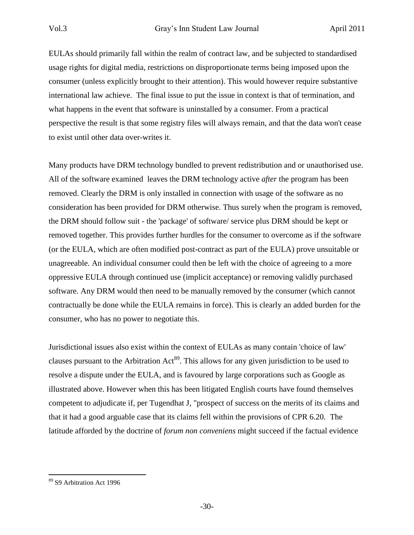EULAs should primarily fall within the realm of contract law, and be subjected to standardised usage rights for digital media, restrictions on disproportionate terms being imposed upon the consumer (unless explicitly brought to their attention). This would however require substantive international law achieve. The final issue to put the issue in context is that of termination, and what happens in the event that software is uninstalled by a consumer. From a practical perspective the result is that some registry files will always remain, and that the data won't cease to exist until other data over-writes it.

Many products have DRM technology bundled to prevent redistribution and or unauthorised use. All of the software examined leaves the DRM technology active *after* the program has been removed. Clearly the DRM is only installed in connection with usage of the software as no consideration has been provided for DRM otherwise. Thus surely when the program is removed, the DRM should follow suit - the 'package' of software/ service plus DRM should be kept or removed together. This provides further hurdles for the consumer to overcome as if the software (or the EULA, which are often modified post-contract as part of the EULA) prove unsuitable or unagreeable. An individual consumer could then be left with the choice of agreeing to a more oppressive EULA through continued use (implicit acceptance) or removing validly purchased software. Any DRM would then need to be manually removed by the consumer (which cannot contractually be done while the EULA remains in force). This is clearly an added burden for the consumer, who has no power to negotiate this.

Jurisdictional issues also exist within the context of EULAs as many contain 'choice of law' clauses pursuant to the Arbitration Act<sup>89</sup>. This allows for any given jurisdiction to be used to resolve a dispute under the EULA, and is favoured by large corporations such as Google as illustrated above. However when this has been litigated English courts have found themselves competent to adjudicate if, per Tugendhat J, "prospect of success on the merits of its claims and that it had a good arguable case that its claims fell within the provisions of CPR 6.20. The latitude afforded by the doctrine of *forum non conveniens* might succeed if the factual evidence

<sup>89</sup> S9 Arbitration Act 1996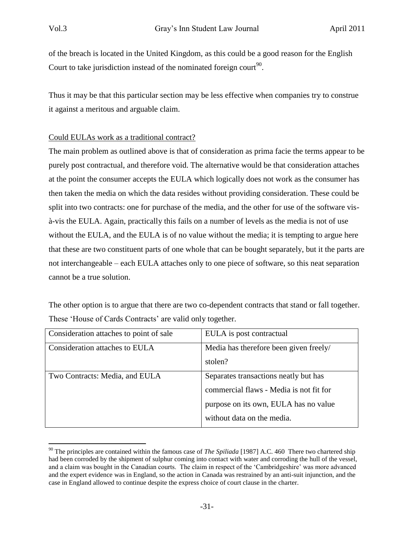of the breach is located in the United Kingdom, as this could be a good reason for the English Court to take jurisdiction instead of the nominated foreign court<sup>90</sup>.

Thus it may be that this particular section may be less effective when companies try to construe it against a meritous and arguable claim.

# Could EULAs work as a traditional contract?

The main problem as outlined above is that of consideration as prima facie the terms appear to be purely post contractual, and therefore void. The alternative would be that consideration attaches at the point the consumer accepts the EULA which logically does not work as the consumer has then taken the media on which the data resides without providing consideration. These could be split into two contracts: one for purchase of the media, and the other for use of the software visà-vis the EULA. Again, practically this fails on a number of levels as the media is not of use without the EULA, and the EULA is of no value without the media; it is tempting to argue here that these are two constituent parts of one whole that can be bought separately, but it the parts are not interchangeable – each EULA attaches only to one piece of software, so this neat separation cannot be a true solution.

The other option is to argue that there are two co-dependent contracts that stand or fall together. These 'House of Cards Contracts' are valid only together.

| Consideration attaches to point of sale | EULA is post contractual                |
|-----------------------------------------|-----------------------------------------|
| Consideration attaches to EULA          | Media has therefore been given freely/  |
|                                         | stolen?                                 |
| Two Contracts: Media, and EULA          | Separates transactions neatly but has   |
|                                         | commercial flaws - Media is not fit for |
|                                         | purpose on its own, EULA has no value   |
|                                         | without data on the media.              |

<sup>90</sup> The principles are contained within the famous case of *The Spiliada* [1987] A.C. 460 There two chartered ship had been corroded by the shipment of sulphur coming into contact with water and corroding the hull of the vessel, and a claim was bought in the Canadian courts. The claim in respect of the "Cambridgeshire" was more advanced and the expert evidence was in England, so the action in Canada was restrained by an anti-suit injunction, and the case in England allowed to continue despite the express choice of court clause in the charter.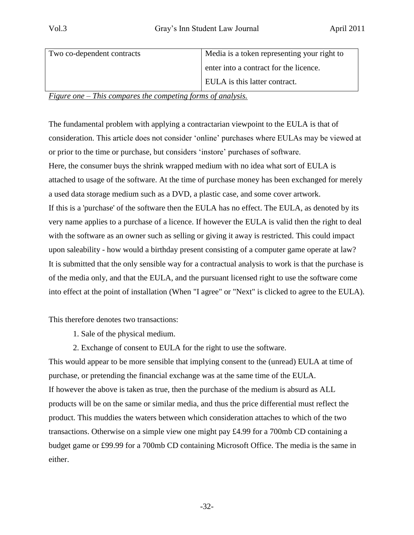| Two co-dependent contracts | Media is a token representing your right to |
|----------------------------|---------------------------------------------|
|                            | enter into a contract for the licence.      |
|                            | EULA is this latter contract.               |

*Figure one – This compares the competing forms of analysis.*

The fundamental problem with applying a contractarian viewpoint to the EULA is that of consideration. This article does not consider "online" purchases where EULAs may be viewed at or prior to the time or purchase, but considers "instore" purchases of software. Here, the consumer buys the shrink wrapped medium with no idea what sort of EULA is attached to usage of the software. At the time of purchase money has been exchanged for merely a used data storage medium such as a DVD, a plastic case, and some cover artwork. If this is a 'purchase' of the software then the EULA has no effect. The EULA, as denoted by its very name applies to a purchase of a licence. If however the EULA is valid then the right to deal with the software as an owner such as selling or giving it away is restricted. This could impact upon saleability - how would a birthday present consisting of a computer game operate at law? It is submitted that the only sensible way for a contractual analysis to work is that the purchase is of the media only, and that the EULA, and the pursuant licensed right to use the software come into effect at the point of installation (When "I agree" or "Next" is clicked to agree to the EULA).

This therefore denotes two transactions:

- 1. Sale of the physical medium.
- 2. Exchange of consent to EULA for the right to use the software.

This would appear to be more sensible that implying consent to the (unread) EULA at time of purchase, or pretending the financial exchange was at the same time of the EULA. If however the above is taken as true, then the purchase of the medium is absurd as ALL products will be on the same or similar media, and thus the price differential must reflect the product. This muddies the waters between which consideration attaches to which of the two transactions. Otherwise on a simple view one might pay £4.99 for a 700mb CD containing a budget game or £99.99 for a 700mb CD containing Microsoft Office. The media is the same in either.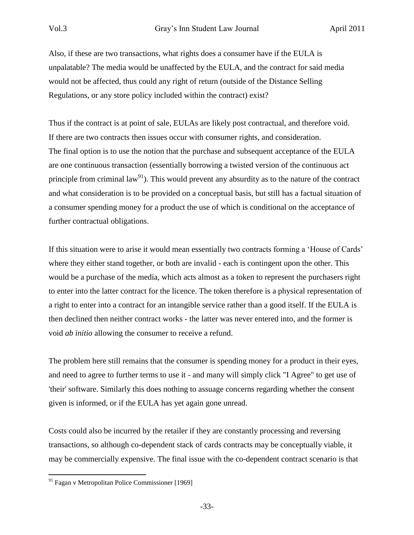Also, if these are two transactions, what rights does a consumer have if the EULA is unpalatable? The media would be unaffected by the EULA, and the contract for said media would not be affected, thus could any right of return (outside of the Distance Selling Regulations, or any store policy included within the contract) exist?

Thus if the contract is at point of sale, EULAs are likely post contractual, and therefore void. If there are two contracts then issues occur with consumer rights, and consideration. The final option is to use the notion that the purchase and subsequent acceptance of the EULA are one continuous transaction (essentially borrowing a twisted version of the continuous act principle from criminal  $law<sup>91</sup>$ . This would prevent any absurdity as to the nature of the contract and what consideration is to be provided on a conceptual basis, but still has a factual situation of a consumer spending money for a product the use of which is conditional on the acceptance of further contractual obligations.

If this situation were to arise it would mean essentially two contracts forming a "House of Cards" where they either stand together, or both are invalid - each is contingent upon the other. This would be a purchase of the media, which acts almost as a token to represent the purchasers right to enter into the latter contract for the licence. The token therefore is a physical representation of a right to enter into a contract for an intangible service rather than a good itself. If the EULA is then declined then neither contract works - the latter was never entered into, and the former is void *ab initio* allowing the consumer to receive a refund.

The problem here still remains that the consumer is spending money for a product in their eyes, and need to agree to further terms to use it - and many will simply click "I Agree" to get use of 'their' software. Similarly this does nothing to assuage concerns regarding whether the consent given is informed, or if the EULA has yet again gone unread.

Costs could also be incurred by the retailer if they are constantly processing and reversing transactions, so although co-dependent stack of cards contracts may be conceptually viable, it may be commercially expensive. The final issue with the co-dependent contract scenario is that

<sup>91</sup> Fagan v Metropolitan Police Commissioner [1969]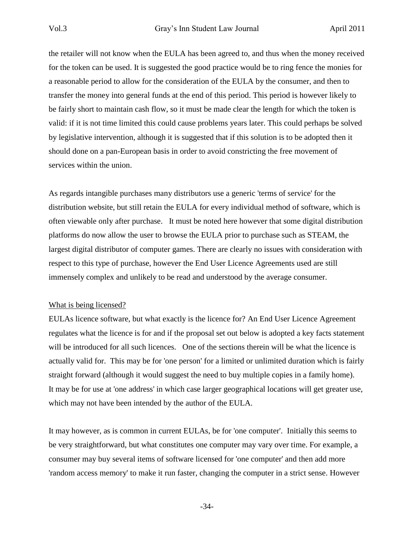the retailer will not know when the EULA has been agreed to, and thus when the money received for the token can be used. It is suggested the good practice would be to ring fence the monies for a reasonable period to allow for the consideration of the EULA by the consumer, and then to transfer the money into general funds at the end of this period. This period is however likely to be fairly short to maintain cash flow, so it must be made clear the length for which the token is valid: if it is not time limited this could cause problems years later. This could perhaps be solved by legislative intervention, although it is suggested that if this solution is to be adopted then it should done on a pan-European basis in order to avoid constricting the free movement of services within the union.

As regards intangible purchases many distributors use a generic 'terms of service' for the distribution website, but still retain the EULA for every individual method of software, which is often viewable only after purchase. It must be noted here however that some digital distribution platforms do now allow the user to browse the EULA prior to purchase such as STEAM, the largest digital distributor of computer games. There are clearly no issues with consideration with respect to this type of purchase, however the End User Licence Agreements used are still immensely complex and unlikely to be read and understood by the average consumer.

## What is being licensed?

EULAs licence software, but what exactly is the licence for? An End User Licence Agreement regulates what the licence is for and if the proposal set out below is adopted a key facts statement will be introduced for all such licences. One of the sections therein will be what the licence is actually valid for. This may be for 'one person' for a limited or unlimited duration which is fairly straight forward (although it would suggest the need to buy multiple copies in a family home). It may be for use at 'one address' in which case larger geographical locations will get greater use, which may not have been intended by the author of the EULA.

It may however, as is common in current EULAs, be for 'one computer'. Initially this seems to be very straightforward, but what constitutes one computer may vary over time. For example, a consumer may buy several items of software licensed for 'one computer' and then add more 'random access memory' to make it run faster, changing the computer in a strict sense. However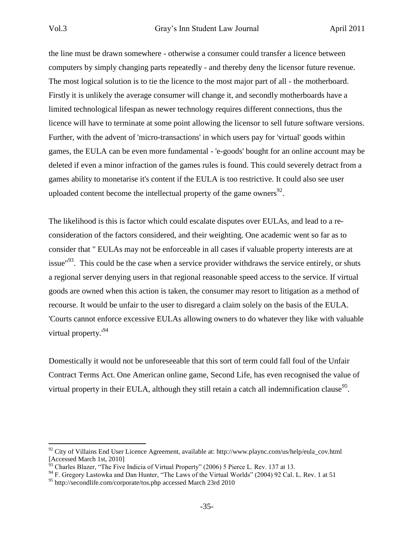the line must be drawn somewhere - otherwise a consumer could transfer a licence between computers by simply changing parts repeatedly - and thereby deny the licensor future revenue. The most logical solution is to tie the licence to the most major part of all - the motherboard. Firstly it is unlikely the average consumer will change it, and secondly motherboards have a limited technological lifespan as newer technology requires different connections, thus the licence will have to terminate at some point allowing the licensor to sell future software versions. Further, with the advent of 'micro-transactions' in which users pay for 'virtual' goods within games, the EULA can be even more fundamental - 'e-goods' bought for an online account may be deleted if even a minor infraction of the games rules is found. This could severely detract from a games ability to monetarise it's content if the EULA is too restrictive. It could also see user uploaded content become the intellectual property of the game owners $92$ .

The likelihood is this is factor which could escalate disputes over EULAs, and lead to a reconsideration of the factors considered, and their weighting. One academic went so far as to consider that " EULAs may not be enforceable in all cases if valuable property interests are at issue<sup>"93</sup>. This could be the case when a service provider withdraws the service entirely, or shuts a regional server denying users in that regional reasonable speed access to the service. If virtual goods are owned when this action is taken, the consumer may resort to litigation as a method of recourse. It would be unfair to the user to disregard a claim solely on the basis of the EULA. 'Courts cannot enforce excessive EULAs allowing owners to do whatever they like with valuable virtual property.'<sup>94</sup>

Domestically it would not be unforeseeable that this sort of term could fall foul of the Unfair Contract Terms Act. One American online game, Second Life, has even recognised the value of virtual property in their EULA, although they still retain a catch all indemnification clause<sup>95</sup>.

 $92$  City of Villains End User Licence Agreement, available at: http://www.plaync.com/us/help/eula\_cov.html  $[Accessed March 1st, 2010]$ 

<sup>93</sup> Charles Blazer, "The Five Indicia of Virtual Property" (2006) 5 Pierce L. Rev. 137 at 13.

<sup>&</sup>lt;sup>94</sup> F. Gregory Lastowka and Dan Hunter, "The Laws of the Virtual Worlds" (2004) 92 Cal. L. Rev. 1 at 51

<sup>&</sup>lt;sup>95</sup> http://secondlife.com/corporate/tos.php accessed March 23rd 2010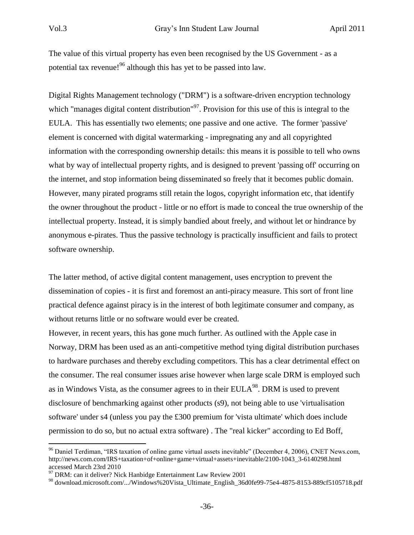The value of this virtual property has even been recognised by the US Government - as a potential tax revenue!<sup>96</sup> although this has yet to be passed into law.

Digital Rights Management technology ("DRM") is a software-driven encryption technology which "manages digital content distribution"<sup>97</sup>. Provision for this use of this is integral to the EULA. This has essentially two elements; one passive and one active. The former 'passive' element is concerned with digital watermarking - impregnating any and all copyrighted information with the corresponding ownership details: this means it is possible to tell who owns what by way of intellectual property rights, and is designed to prevent 'passing off' occurring on the internet, and stop information being disseminated so freely that it becomes public domain. However, many pirated programs still retain the logos, copyright information etc, that identify the owner throughout the product - little or no effort is made to conceal the true ownership of the intellectual property. Instead, it is simply bandied about freely, and without let or hindrance by anonymous e-pirates. Thus the passive technology is practically insufficient and fails to protect software ownership.

The latter method, of active digital content management, uses encryption to prevent the dissemination of copies - it is first and foremost an anti-piracy measure. This sort of front line practical defence against piracy is in the interest of both legitimate consumer and company, as without returns little or no software would ever be created.

However, in recent years, this has gone much further. As outlined with the Apple case in Norway, DRM has been used as an anti-competitive method tying digital distribution purchases to hardware purchases and thereby excluding competitors. This has a clear detrimental effect on the consumer. The real consumer issues arise however when large scale DRM is employed such as in Windows Vista, as the consumer agrees to in their EULA $^{98}$ . DRM is used to prevent disclosure of benchmarking against other products (s9), not being able to use 'virtualisation software' under s4 (unless you pay the £300 premium for 'vista ultimate' which does include permission to do so, but no actual extra software) . The "real kicker" according to Ed Boff,

<sup>&</sup>lt;sup>96</sup> Daniel Terdiman, "IRS taxation of online game virtual assets inevitable" (December 4, 2006), CNET News.com, http://news.com.com/IRS+taxation+of+online+game+virtual+assets+inevitable/2100-1043\_3-6140298.html accessed March 23rd 2010

 $97$  DRM: can it deliver? Nick Hanbidge Entertainment Law Review 2001

<sup>98</sup> download.microsoft.com/.../Windows%20Vista\_Ultimate\_English\_36d0fe99-75e4-4875-8153-889cf5105718.pdf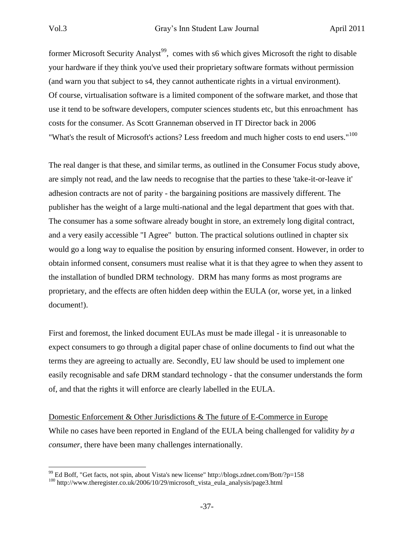former Microsoft Security Analyst<sup>99</sup>, comes with s6 which gives Microsoft the right to disable your hardware if they think you've used their proprietary software formats without permission (and warn you that subject to s4, they cannot authenticate rights in a virtual environment). Of course, virtualisation software is a limited component of the software market, and those that use it tend to be software developers, computer sciences students etc, but this enroachment has costs for the consumer. As Scott Granneman observed in IT Director back in 2006 "What's the result of Microsoft's actions? Less freedom and much higher costs to end users."<sup>100</sup>

The real danger is that these, and similar terms, as outlined in the Consumer Focus study above, are simply not read, and the law needs to recognise that the parties to these 'take-it-or-leave it' adhesion contracts are not of parity - the bargaining positions are massively different. The publisher has the weight of a large multi-national and the legal department that goes with that. The consumer has a some software already bought in store, an extremely long digital contract, and a very easily accessible "I Agree" button. The practical solutions outlined in chapter six would go a long way to equalise the position by ensuring informed consent. However, in order to obtain informed consent, consumers must realise what it is that they agree to when they assent to the installation of bundled DRM technology. DRM has many forms as most programs are proprietary, and the effects are often hidden deep within the EULA (or, worse yet, in a linked document!).

First and foremost, the linked document EULAs must be made illegal - it is unreasonable to expect consumers to go through a digital paper chase of online documents to find out what the terms they are agreeing to actually are. Secondly, EU law should be used to implement one easily recognisable and safe DRM standard technology - that the consumer understands the form of, and that the rights it will enforce are clearly labelled in the EULA.

Domestic Enforcement & Other Jurisdictions & The future of E-Commerce in Europe While no cases have been reported in England of the EULA being challenged for validity *by a consumer*, there have been many challenges internationally.

 $^{99}$  Ed Boff, "Get facts, not spin, about Vista's new license" http://blogs.zdnet.com/Bott/?p=158

<sup>100</sup> http://www.theregister.co.uk/2006/10/29/microsoft\_vista\_eula\_analysis/page3.html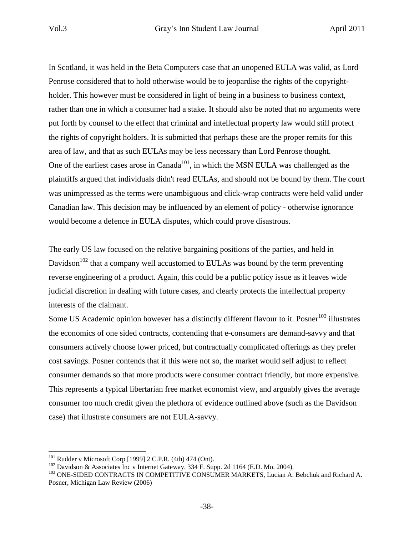In Scotland, it was held in the Beta Computers case that an unopened EULA was valid, as Lord Penrose considered that to hold otherwise would be to jeopardise the rights of the copyrightholder. This however must be considered in light of being in a business to business context, rather than one in which a consumer had a stake. It should also be noted that no arguments were put forth by counsel to the effect that criminal and intellectual property law would still protect the rights of copyright holders. It is submitted that perhaps these are the proper remits for this area of law, and that as such EULAs may be less necessary than Lord Penrose thought. One of the earliest cases arose in Canada<sup>101</sup>, in which the MSN EULA was challenged as the plaintiffs argued that individuals didn't read EULAs, and should not be bound by them. The court was unimpressed as the terms were unambiguous and click-wrap contracts were held valid under Canadian law. This decision may be influenced by an element of policy - otherwise ignorance would become a defence in EULA disputes, which could prove disastrous.

The early US law focused on the relative bargaining positions of the parties, and held in Davidson<sup>102</sup> that a company well accustomed to EULAs was bound by the term preventing reverse engineering of a product. Again, this could be a public policy issue as it leaves wide judicial discretion in dealing with future cases, and clearly protects the intellectual property interests of the claimant.

Some US Academic opinion however has a distinctly different flavour to it. Posner<sup>103</sup> illustrates the economics of one sided contracts, contending that e-consumers are demand-savvy and that consumers actively choose lower priced, but contractually complicated offerings as they prefer cost savings. Posner contends that if this were not so, the market would self adjust to reflect consumer demands so that more products were consumer contract friendly, but more expensive. This represents a typical libertarian free market economist view, and arguably gives the average consumer too much credit given the plethora of evidence outlined above (such as the Davidson case) that illustrate consumers are not EULA-savvy.

 $101$  Rudder v Microsoft Corp [1999] 2 C.P.R. (4th) 474 (Ont).

<sup>&</sup>lt;sup>102</sup> Davidson & Associates Inc v Internet Gateway. 334 F. Supp. 2d 1164 (E.D. Mo. 2004).

<sup>103</sup> ONE-SIDED CONTRACTS IN COMPETITIVE CONSUMER MARKETS, Lucian A. Bebchuk and Richard A. Posner, Michigan Law Review (2006)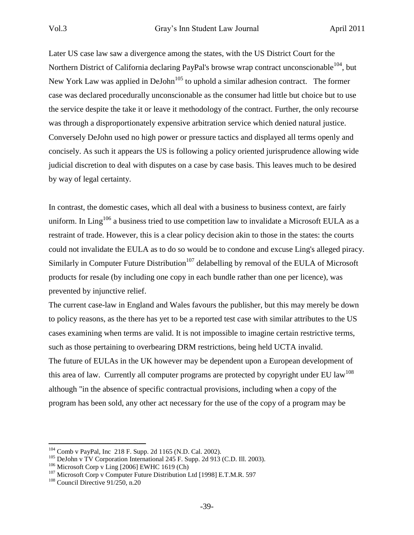Later US case law saw a divergence among the states, with the US District Court for the Northern District of California declaring PayPal's browse wrap contract unconscionable  $104$ , but New York Law was applied in DeJohn<sup>105</sup> to uphold a similar adhesion contract. The former case was declared procedurally unconscionable as the consumer had little but choice but to use the service despite the take it or leave it methodology of the contract. Further, the only recourse was through a disproportionately expensive arbitration service which denied natural justice. Conversely DeJohn used no high power or pressure tactics and displayed all terms openly and concisely. As such it appears the US is following a policy oriented jurisprudence allowing wide judicial discretion to deal with disputes on a case by case basis. This leaves much to be desired by way of legal certainty.

In contrast, the domestic cases, which all deal with a business to business context, are fairly uniform. In Ling<sup>106</sup> a business tried to use competition law to invalidate a Microsoft EULA as a restraint of trade. However, this is a clear policy decision akin to those in the states: the courts could not invalidate the EULA as to do so would be to condone and excuse Ling's alleged piracy. Similarly in Computer Future Distribution<sup>107</sup> delabelling by removal of the EULA of Microsoft products for resale (by including one copy in each bundle rather than one per licence), was prevented by injunctive relief.

The current case-law in England and Wales favours the publisher, but this may merely be down to policy reasons, as the there has yet to be a reported test case with similar attributes to the US cases examining when terms are valid. It is not impossible to imagine certain restrictive terms, such as those pertaining to overbearing DRM restrictions, being held UCTA invalid. The future of EULAs in the UK however may be dependent upon a European development of this area of law. Currently all computer programs are protected by copyright under EU law<sup>108</sup> although "in the absence of specific contractual provisions, including when a copy of the program has been sold, any other act necessary for the use of the copy of a program may be

<sup>104</sup> Comb v PayPal, Inc 218 F. Supp. 2d 1165 (N.D. Cal. 2002).

<sup>&</sup>lt;sup>105</sup> DeJohn v TV Corporation International 245 F. Supp. 2d 913 (C.D. Ill. 2003).

 $106$  Microsoft Corp v Ling [2006] EWHC 1619 (Ch)

<sup>&</sup>lt;sup>107</sup> Microsoft Corp v Computer Future Distribution Ltd [1998] E.T.M.R. 597

<sup>&</sup>lt;sup>108</sup> Council Directive 91/250, n.20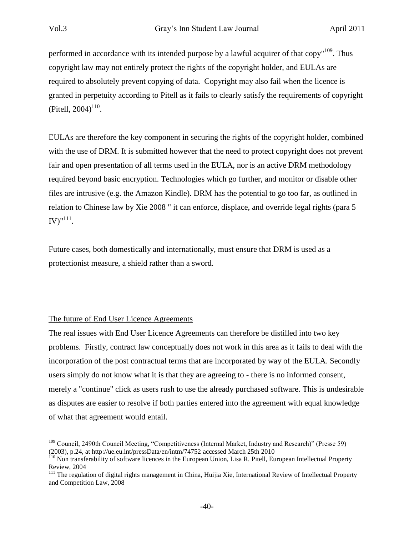performed in accordance with its intended purpose by a lawful acquirer of that  $\text{copy}^{109}$ . Thus copyright law may not entirely protect the rights of the copyright holder, and EULAs are required to absolutely prevent copying of data. Copyright may also fail when the licence is granted in perpetuity according to Pitell as it fails to clearly satisfy the requirements of copyright (Pitell, 2004) $110$ .

EULAs are therefore the key component in securing the rights of the copyright holder, combined with the use of DRM. It is submitted however that the need to protect copyright does not prevent fair and open presentation of all terms used in the EULA, nor is an active DRM methodology required beyond basic encryption. Technologies which go further, and monitor or disable other files are intrusive (e.g. the Amazon Kindle). DRM has the potential to go too far, as outlined in relation to Chinese law by Xie 2008 " it can enforce, displace, and override legal rights (para 5  $\text{IV})^{\text{m111}}.$ 

Future cases, both domestically and internationally, must ensure that DRM is used as a protectionist measure, a shield rather than a sword.

# The future of End User Licence Agreements

The real issues with End User Licence Agreements can therefore be distilled into two key problems. Firstly, contract law conceptually does not work in this area as it fails to deal with the incorporation of the post contractual terms that are incorporated by way of the EULA. Secondly users simply do not know what it is that they are agreeing to - there is no informed consent, merely a "continue" click as users rush to use the already purchased software. This is undesirable as disputes are easier to resolve if both parties entered into the agreement with equal knowledge of what that agreement would entail.

 $\overline{a}$ <sup>109</sup> Council, 2490th Council Meeting, "Competitiveness (Internal Market, Industry and Research)" (Presse 59) (2003), p.24, at http://ue.eu.int/pressData/en/intm/74752 accessed March 25th 2010

<sup>&</sup>lt;sup>110</sup> Non transferability of software licences in the European Union, Lisa R. Pitell, European Intellectual Property Review, 2004

<sup>&</sup>lt;sup>111</sup> The regulation of digital rights management in China, Huijia Xie, International Review of Intellectual Property and Competition Law, 2008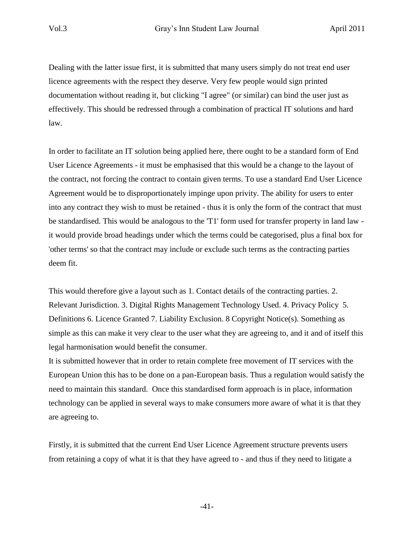Dealing with the latter issue first, it is submitted that many users simply do not treat end user licence agreements with the respect they deserve. Very few people would sign printed documentation without reading it, but clicking "I agree" (or similar) can bind the user just as effectively. This should be redressed through a combination of practical IT solutions and hard law.

In order to facilitate an IT solution being applied here, there ought to be a standard form of End User Licence Agreements - it must be emphasised that this would be a change to the layout of the contract, not forcing the contract to contain given terms. To use a standard End User Licence Agreement would be to disproportionately impinge upon privity. The ability for users to enter into any contract they wish to must be retained - thus it is only the form of the contract that must be standardised. This would be analogous to the 'T1' form used for transfer property in land law it would provide broad headings under which the terms could be categorised, plus a final box for 'other terms' so that the contract may include or exclude such terms as the contracting parties deem fit.

This would therefore give a layout such as 1. Contact details of the contracting parties. 2. Relevant Jurisdiction. 3. Digital Rights Management Technology Used. 4. Privacy Policy 5. Definitions 6. Licence Granted 7. Liability Exclusion. 8 Copyright Notice(s). Something as simple as this can make it very clear to the user what they are agreeing to, and it and of itself this legal harmonisation would benefit the consumer.

It is submitted however that in order to retain complete free movement of IT services with the European Union this has to be done on a pan-European basis. Thus a regulation would satisfy the need to maintain this standard. Once this standardised form approach is in place, information technology can be applied in several ways to make consumers more aware of what it is that they are agreeing to.

Firstly, it is submitted that the current End User Licence Agreement structure prevents users from retaining a copy of what it is that they have agreed to - and thus if they need to litigate a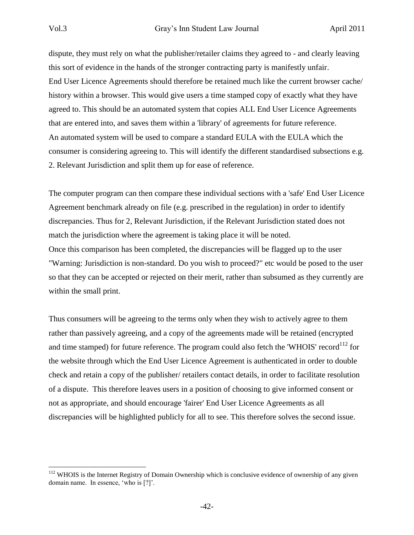dispute, they must rely on what the publisher/retailer claims they agreed to - and clearly leaving this sort of evidence in the hands of the stronger contracting party is manifestly unfair. End User Licence Agreements should therefore be retained much like the current browser cache/ history within a browser. This would give users a time stamped copy of exactly what they have agreed to. This should be an automated system that copies ALL End User Licence Agreements that are entered into, and saves them within a 'library' of agreements for future reference. An automated system will be used to compare a standard EULA with the EULA which the consumer is considering agreeing to. This will identify the different standardised subsections e.g. 2. Relevant Jurisdiction and split them up for ease of reference.

The computer program can then compare these individual sections with a 'safe' End User Licence Agreement benchmark already on file (e.g. prescribed in the regulation) in order to identify discrepancies. Thus for 2, Relevant Jurisdiction, if the Relevant Jurisdiction stated does not match the jurisdiction where the agreement is taking place it will be noted. Once this comparison has been completed, the discrepancies will be flagged up to the user "Warning: Jurisdiction is non-standard. Do you wish to proceed?" etc would be posed to the user so that they can be accepted or rejected on their merit, rather than subsumed as they currently are within the small print.

Thus consumers will be agreeing to the terms only when they wish to actively agree to them rather than passively agreeing, and a copy of the agreements made will be retained (encrypted and time stamped) for future reference. The program could also fetch the 'WHOIS' record<sup>112</sup> for the website through which the End User Licence Agreement is authenticated in order to double check and retain a copy of the publisher/ retailers contact details, in order to facilitate resolution of a dispute. This therefore leaves users in a position of choosing to give informed consent or not as appropriate, and should encourage 'fairer' End User Licence Agreements as all discrepancies will be highlighted publicly for all to see. This therefore solves the second issue.

<sup>&</sup>lt;sup>112</sup> WHOIS is the Internet Registry of Domain Ownership which is conclusive evidence of ownership of any given domain name. In essence, 'who is [?]'.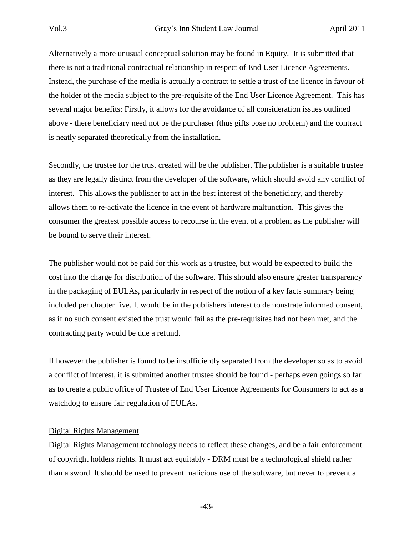Alternatively a more unusual conceptual solution may be found in Equity. It is submitted that there is not a traditional contractual relationship in respect of End User Licence Agreements. Instead, the purchase of the media is actually a contract to settle a trust of the licence in favour of the holder of the media subject to the pre-requisite of the End User Licence Agreement. This has several major benefits: Firstly, it allows for the avoidance of all consideration issues outlined above - there beneficiary need not be the purchaser (thus gifts pose no problem) and the contract is neatly separated theoretically from the installation.

Secondly, the trustee for the trust created will be the publisher. The publisher is a suitable trustee as they are legally distinct from the developer of the software, which should avoid any conflict of interest. This allows the publisher to act in the best interest of the beneficiary, and thereby allows them to re-activate the licence in the event of hardware malfunction. This gives the consumer the greatest possible access to recourse in the event of a problem as the publisher will be bound to serve their interest.

The publisher would not be paid for this work as a trustee, but would be expected to build the cost into the charge for distribution of the software. This should also ensure greater transparency in the packaging of EULAs, particularly in respect of the notion of a key facts summary being included per chapter five. It would be in the publishers interest to demonstrate informed consent, as if no such consent existed the trust would fail as the pre-requisites had not been met, and the contracting party would be due a refund.

If however the publisher is found to be insufficiently separated from the developer so as to avoid a conflict of interest, it is submitted another trustee should be found - perhaps even goings so far as to create a public office of Trustee of End User Licence Agreements for Consumers to act as a watchdog to ensure fair regulation of EULAs.

## Digital Rights Management

Digital Rights Management technology needs to reflect these changes, and be a fair enforcement of copyright holders rights. It must act equitably - DRM must be a technological shield rather than a sword. It should be used to prevent malicious use of the software, but never to prevent a